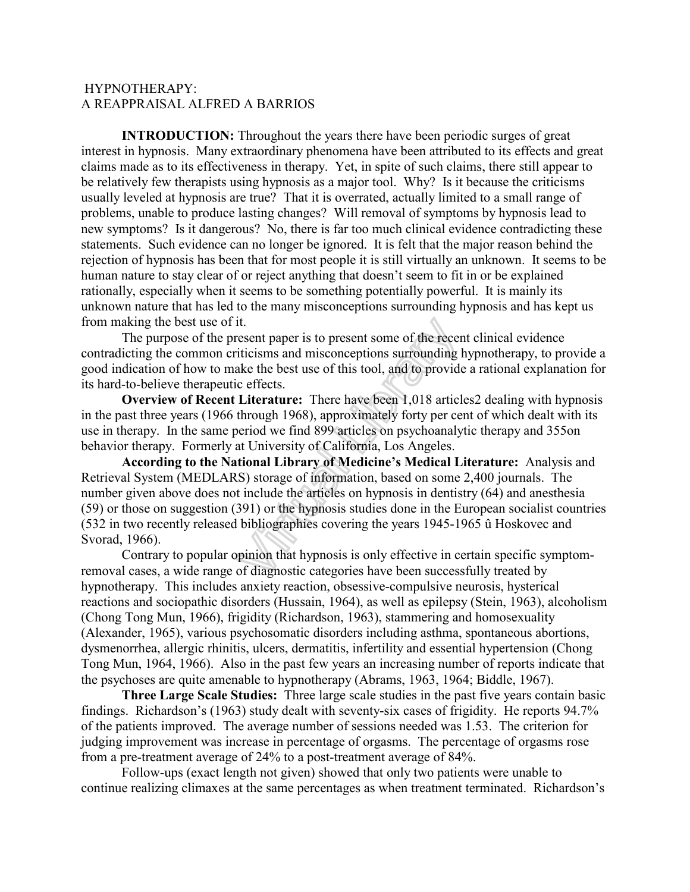# HYPNOTHERAPY: A REAPPRAISAL ALFRED A BARRIOS

**INTRODUCTION:** Throughout the years there have been periodic surges of great interest in hypnosis. Many extraordinary phenomena have been attributed to its effects and great claims made as to its effectiveness in therapy. Yet, in spite of such claims, there still appear to be relatively few therapists using hypnosis as a major tool. Why? Is it because the criticisms usually leveled at hypnosis are true? That it is overrated, actually limited to a small range of problems, unable to produce lasting changes? Will removal of symptoms by hypnosis lead to new symptoms? Is it dangerous? No, there is far too much clinical evidence contradicting these statements. Such evidence can no longer be ignored. It is felt that the major reason behind the rejection of hypnosis has been that for most people it is still virtually an unknown. It seems to be human nature to stay clear of or reject anything that doesn't seem to fit in or be explained rationally, especially when it seems to be something potentially powerful. It is mainly its unknown nature that has led to the many misconceptions surrounding hypnosis and has kept us from making the best use of it.

 The purpose of the present paper is to present some of the recent clinical evidence contradicting the common criticisms and misconceptions surrounding hypnotherapy, to provide a good indication of how to make the best use of this tool, and to provide a rational explanation for its hard-to-believe therapeutic effects.

**Overview of Recent Literature:** There have been 1,018 articles2 dealing with hypnosis in the past three years (1966 through 1968), approximately forty per cent of which dealt with its use in therapy. In the same period we find 899 articles on psychoanalytic therapy and 355on behavior therapy. Formerly at University of California, Los Angeles.

**According to the National Library of Medicine's Medical Literature:** Analysis and Retrieval System (MEDLARS) storage of information, based on some 2,400 journals. The number given above does not include the articles on hypnosis in dentistry (64) and anesthesia (59) or those on suggestion (391) or the hypnosis studies done in the European socialist countries (532 in two recently released bibliographies covering the years 1945-1965 û Hoskovec and Svorad, 1966).

 Contrary to popular opinion that hypnosis is only effective in certain specific symptomremoval cases, a wide range of diagnostic categories have been successfully treated by hypnotherapy. This includes anxiety reaction, obsessive-compulsive neurosis, hysterical reactions and sociopathic disorders (Hussain, 1964), as well as epilepsy (Stein, 1963), alcoholism (Chong Tong Mun, 1966), frigidity (Richardson, 1963), stammering and homosexuality (Alexander, 1965), various psychosomatic disorders including asthma, spontaneous abortions, dysmenorrhea, allergic rhinitis, ulcers, dermatitis, infertility and essential hypertension (Chong Tong Mun, 1964, 1966). Also in the past few years an increasing number of reports indicate that the psychoses are quite amenable to hypnotherapy (Abrams, 1963, 1964; Biddle, 1967).

**Three Large Scale Studies:** Three large scale studies in the past five years contain basic findings. Richardson's (1963) study dealt with seventy-six cases of frigidity. He reports 94.7% of the patients improved. The average number of sessions needed was 1.53. The criterion for judging improvement was increase in percentage of orgasms. The percentage of orgasms rose from a pre-treatment average of 24% to a post-treatment average of 84%.

 Follow-ups (exact length not given) showed that only two patients were unable to continue realizing climaxes at the same percentages as when treatment terminated. Richardson's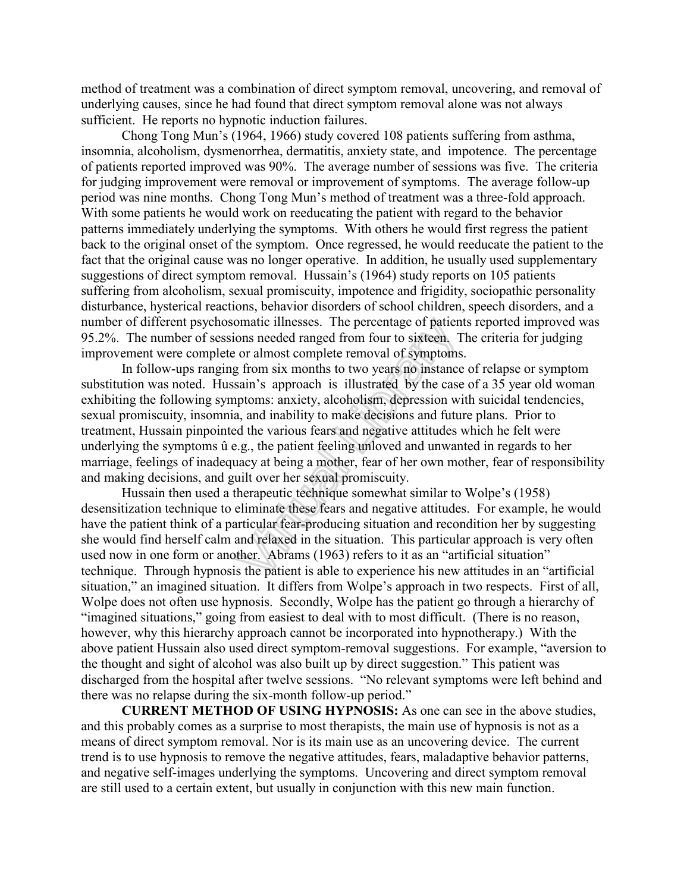method of treatment was a combination of direct symptom removal, uncovering, and removal of underlying causes, since he had found that direct symptom removal alone was not always sufficient. He reports no hypnotic induction failures.

 Chong Tong Mun's (1964, 1966) study covered 108 patients suffering from asthma, insomnia, alcoholism, dysmenorrhea, dermatitis, anxiety state, and impotence. The percentage of patients reported improved was 90%. The average number of sessions was five. The criteria for judging improvement were removal or improvement of symptoms. The average follow-up period was nine months. Chong Tong Mun's method of treatment was a three-fold approach. With some patients he would work on reeducating the patient with regard to the behavior patterns immediately underlying the symptoms. With others he would first regress the patient back to the original onset of the symptom. Once regressed, he would reeducate the patient to the fact that the original cause was no longer operative. In addition, he usually used supplementary suggestions of direct symptom removal. Hussain's (1964) study reports on 105 patients suffering from alcoholism, sexual promiscuity, impotence and frigidity, sociopathic personality disturbance, hysterical reactions, behavior disorders of school children, speech disorders, and a number of different psychosomatic illnesses. The percentage of patients reported improved was 95.2%. The number of sessions needed ranged from four to sixteen. The criteria for judging improvement were complete or almost complete removal of symptoms.

 In follow-ups ranging from six months to two years no instance of relapse or symptom substitution was noted. Hussain's approach is illustrated by the case of a 35 year old woman exhibiting the following symptoms: anxiety, alcoholism, depression with suicidal tendencies, sexual promiscuity, insomnia, and inability to make decisions and future plans. Prior to treatment, Hussain pinpointed the various fears and negative attitudes which he felt were underlying the symptoms û e.g., the patient feeling unloved and unwanted in regards to her marriage, feelings of inadequacy at being a mother, fear of her own mother, fear of responsibility and making decisions, and guilt over her sexual promiscuity.

 Hussain then used a therapeutic technique somewhat similar to Wolpe's (1958) desensitization technique to eliminate these fears and negative attitudes. For example, he would have the patient think of a particular fear-producing situation and recondition her by suggesting she would find herself calm and relaxed in the situation. This particular approach is very often used now in one form or another. Abrams (1963) refers to it as an "artificial situation" technique. Through hypnosis the patient is able to experience his new attitudes in an "artificial situation," an imagined situation. It differs from Wolpe's approach in two respects. First of all, Wolpe does not often use hypnosis. Secondly, Wolpe has the patient go through a hierarchy of "imagined situations," going from easiest to deal with to most difficult. (There is no reason, however, why this hierarchy approach cannot be incorporated into hypnotherapy.) With the above patient Hussain also used direct symptom-removal suggestions. For example, "aversion to the thought and sight of alcohol was also built up by direct suggestion." This patient was discharged from the hospital after twelve sessions. "No relevant symptoms were left behind and there was no relapse during the six-month follow-up period."

**CURRENT METHOD OF USING HYPNOSIS:** As one can see in the above studies, and this probably comes as a surprise to most therapists, the main use of hypnosis is not as a means of direct symptom removal. Nor is its main use as an uncovering device. The current trend is to use hypnosis to remove the negative attitudes, fears, maladaptive behavior patterns, and negative self-images underlying the symptoms. Uncovering and direct symptom removal are still used to a certain extent, but usually in conjunction with this new main function.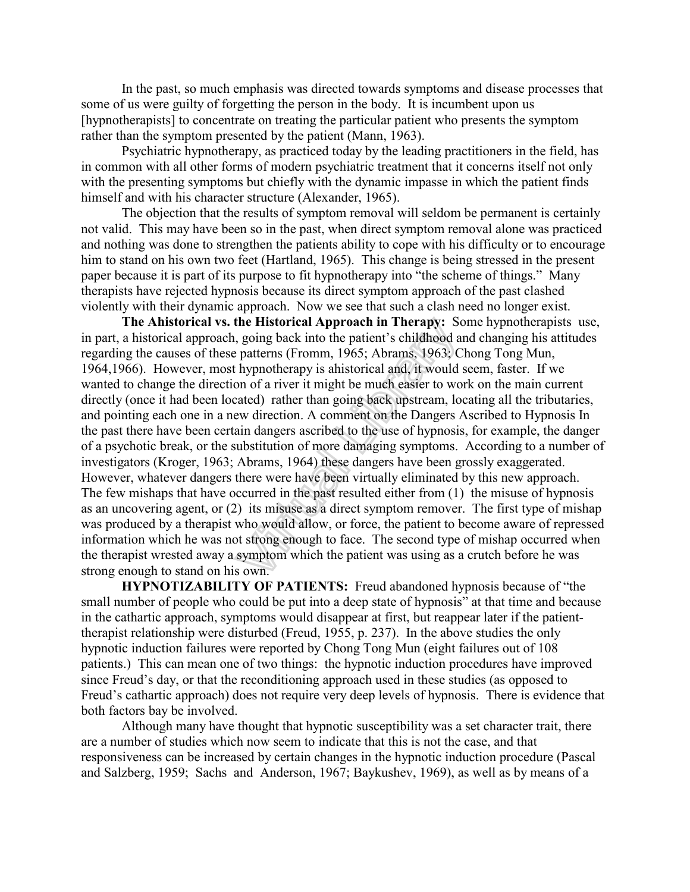In the past, so much emphasis was directed towards symptoms and disease processes that some of us were guilty of forgetting the person in the body. It is incumbent upon us [hypnotherapists] to concentrate on treating the particular patient who presents the symptom rather than the symptom presented by the patient (Mann, 1963).

 Psychiatric hypnotherapy, as practiced today by the leading practitioners in the field, has in common with all other forms of modern psychiatric treatment that it concerns itself not only with the presenting symptoms but chiefly with the dynamic impasse in which the patient finds himself and with his character structure (Alexander, 1965).

 The objection that the results of symptom removal will seldom be permanent is certainly not valid. This may have been so in the past, when direct symptom removal alone was practiced and nothing was done to strengthen the patients ability to cope with his difficulty or to encourage him to stand on his own two feet (Hartland, 1965). This change is being stressed in the present paper because it is part of its purpose to fit hypnotherapy into "the scheme of things." Many therapists have rejected hypnosis because its direct symptom approach of the past clashed violently with their dynamic approach. Now we see that such a clash need no longer exist.

**The Ahistorical vs. the Historical Approach in Therapy:** Some hypnotherapists use, in part, a historical approach, going back into the patient's childhood and changing his attitudes regarding the causes of these patterns (Fromm, 1965; Abrams, 1963; Chong Tong Mun, 1964,1966). However, most hypnotherapy is ahistorical and, it would seem, faster. If we wanted to change the direction of a river it might be much easier to work on the main current directly (once it had been located) rather than going back upstream, locating all the tributaries, and pointing each one in a new direction. A comment on the Dangers Ascribed to Hypnosis In the past there have been certain dangers ascribed to the use of hypnosis, for example, the danger of a psychotic break, or the substitution of more damaging symptoms. According to a number of investigators (Kroger, 1963; Abrams, 1964) these dangers have been grossly exaggerated. However, whatever dangers there were have been virtually eliminated by this new approach. The few mishaps that have occurred in the past resulted either from (1) the misuse of hypnosis as an uncovering agent, or (2) its misuse as a direct symptom remover. The first type of mishap was produced by a therapist who would allow, or force, the patient to become aware of repressed information which he was not strong enough to face. The second type of mishap occurred when the therapist wrested away a symptom which the patient was using as a crutch before he was strong enough to stand on his own.

**HYPNOTIZABILITY OF PATIENTS:** Freud abandoned hypnosis because of "the small number of people who could be put into a deep state of hypnosis" at that time and because in the cathartic approach, symptoms would disappear at first, but reappear later if the patienttherapist relationship were disturbed (Freud, 1955, p. 237). In the above studies the only hypnotic induction failures were reported by Chong Tong Mun (eight failures out of 108 patients.) This can mean one of two things: the hypnotic induction procedures have improved since Freud's day, or that the reconditioning approach used in these studies (as opposed to Freud's cathartic approach) does not require very deep levels of hypnosis. There is evidence that both factors bay be involved.

 Although many have thought that hypnotic susceptibility was a set character trait, there are a number of studies which now seem to indicate that this is not the case, and that responsiveness can be increased by certain changes in the hypnotic induction procedure (Pascal and Salzberg, 1959; Sachs and Anderson, 1967; Baykushev, 1969), as well as by means of a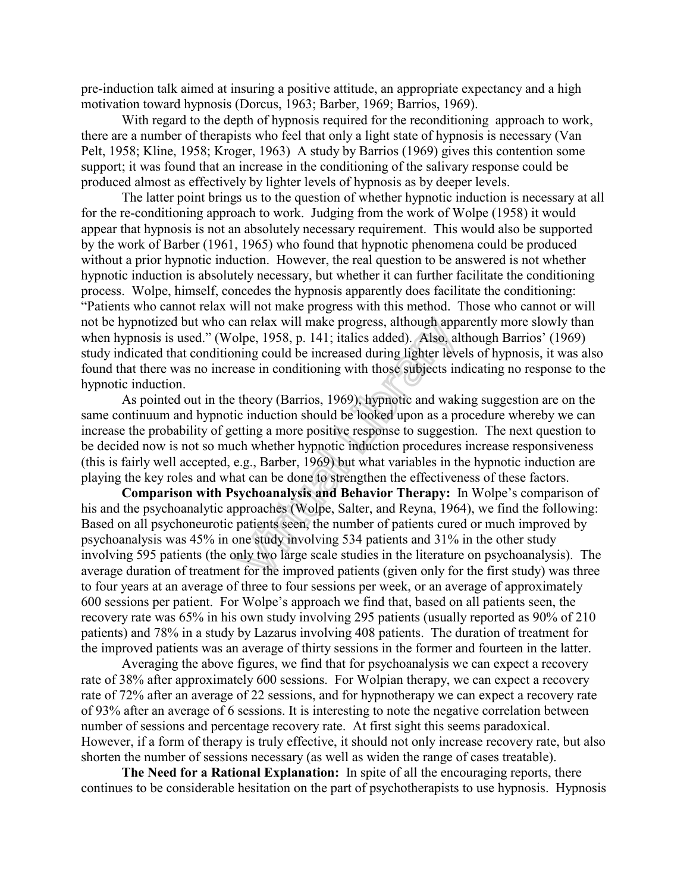pre-induction talk aimed at insuring a positive attitude, an appropriate expectancy and a high motivation toward hypnosis (Dorcus, 1963; Barber, 1969; Barrios, 1969).

With regard to the depth of hypnosis required for the reconditioning approach to work, there are a number of therapists who feel that only a light state of hypnosis is necessary (Van Pelt, 1958; Kline, 1958; Kroger, 1963) A study by Barrios (1969) gives this contention some support; it was found that an increase in the conditioning of the salivary response could be produced almost as effectively by lighter levels of hypnosis as by deeper levels.

 The latter point brings us to the question of whether hypnotic induction is necessary at all for the re-conditioning approach to work. Judging from the work of Wolpe (1958) it would appear that hypnosis is not an absolutely necessary requirement. This would also be supported by the work of Barber (1961, 1965) who found that hypnotic phenomena could be produced without a prior hypnotic induction. However, the real question to be answered is not whether hypnotic induction is absolutely necessary, but whether it can further facilitate the conditioning process. Wolpe, himself, concedes the hypnosis apparently does facilitate the conditioning: "Patients who cannot relax will not make progress with this method. Those who cannot or will not be hypnotized but who can relax will make progress, although apparently more slowly than when hypnosis is used." (Wolpe, 1958, p. 141; italics added). Also, although Barrios' (1969) study indicated that conditioning could be increased during lighter levels of hypnosis, it was also found that there was no increase in conditioning with those subjects indicating no response to the hypnotic induction.

 As pointed out in the theory (Barrios, 1969), hypnotic and waking suggestion are on the same continuum and hypnotic induction should be looked upon as a procedure whereby we can increase the probability of getting a more positive response to suggestion. The next question to be decided now is not so much whether hypnotic induction procedures increase responsiveness (this is fairly well accepted, e.g., Barber, 1969) but what variables in the hypnotic induction are playing the key roles and what can be done to strengthen the effectiveness of these factors.

**Comparison with Psychoanalysis and Behavior Therapy:** In Wolpe's comparison of his and the psychoanalytic approaches (Wolpe, Salter, and Reyna, 1964), we find the following: Based on all psychoneurotic patients seen, the number of patients cured or much improved by psychoanalysis was 45% in one study involving 534 patients and 31% in the other study involving 595 patients (the only two large scale studies in the literature on psychoanalysis). The average duration of treatment for the improved patients (given only for the first study) was three to four years at an average of three to four sessions per week, or an average of approximately 600 sessions per patient. For Wolpe's approach we find that, based on all patients seen, the recovery rate was 65% in his own study involving 295 patients (usually reported as 90% of 210 patients) and 78% in a study by Lazarus involving 408 patients. The duration of treatment for the improved patients was an average of thirty sessions in the former and fourteen in the latter.

 Averaging the above figures, we find that for psychoanalysis we can expect a recovery rate of 38% after approximately 600 sessions. For Wolpian therapy, we can expect a recovery rate of 72% after an average of 22 sessions, and for hypnotherapy we can expect a recovery rate of 93% after an average of 6 sessions. It is interesting to note the negative correlation between number of sessions and percentage recovery rate. At first sight this seems paradoxical. However, if a form of therapy is truly effective, it should not only increase recovery rate, but also shorten the number of sessions necessary (as well as widen the range of cases treatable).

**The Need for a Rational Explanation:** In spite of all the encouraging reports, there continues to be considerable hesitation on the part of psychotherapists to use hypnosis. Hypnosis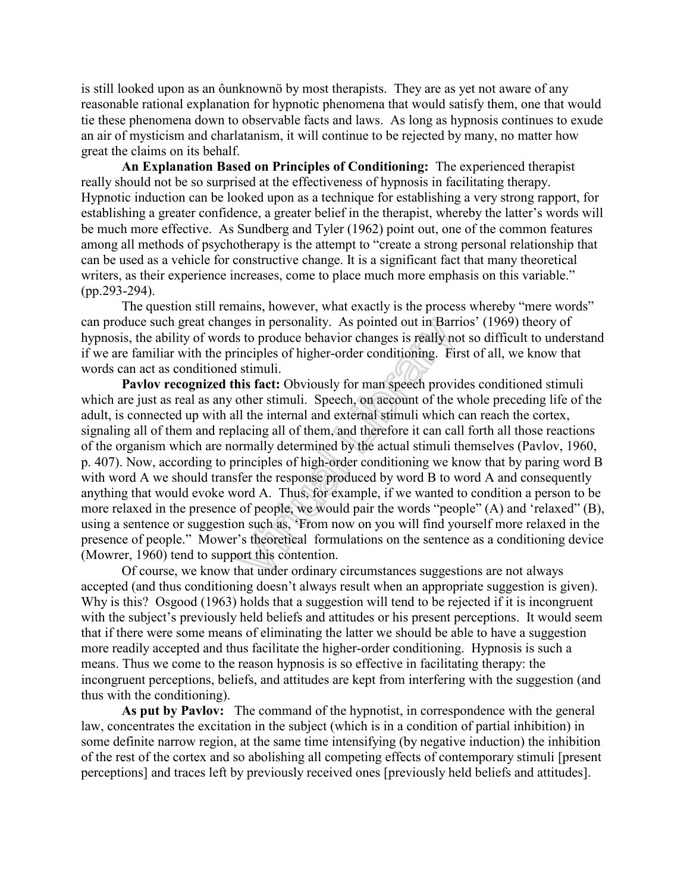is still looked upon as an ôunknownö by most therapists. They are as yet not aware of any reasonable rational explanation for hypnotic phenomena that would satisfy them, one that would tie these phenomena down to observable facts and laws. As long as hypnosis continues to exude an air of mysticism and charlatanism, it will continue to be rejected by many, no matter how great the claims on its behalf.

**An Explanation Based on Principles of Conditioning:** The experienced therapist really should not be so surprised at the effectiveness of hypnosis in facilitating therapy. Hypnotic induction can be looked upon as a technique for establishing a very strong rapport, for establishing a greater confidence, a greater belief in the therapist, whereby the latter's words will be much more effective. As Sundberg and Tyler (1962) point out, one of the common features among all methods of psychotherapy is the attempt to "create a strong personal relationship that can be used as a vehicle for constructive change. It is a significant fact that many theoretical writers, as their experience increases, come to place much more emphasis on this variable." (pp.293-294).

 The question still remains, however, what exactly is the process whereby "mere words" can produce such great changes in personality. As pointed out in Barrios' (1969) theory of hypnosis, the ability of words to produce behavior changes is really not so difficult to understand if we are familiar with the principles of higher-order conditioning. First of all, we know that words can act as conditioned stimuli.

**Pavlov recognized this fact:** Obviously for man speech provides conditioned stimuli which are just as real as any other stimuli. Speech, on account of the whole preceding life of the adult, is connected up with all the internal and external stimuli which can reach the cortex, signaling all of them and replacing all of them, and therefore it can call forth all those reactions of the organism which are normally determined by the actual stimuli themselves (Pavlov, 1960, p. 407). Now, according to principles of high-order conditioning we know that by paring word B with word A we should transfer the response produced by word B to word A and consequently anything that would evoke word A. Thus, for example, if we wanted to condition a person to be more relaxed in the presence of people, we would pair the words "people" (A) and 'relaxed" (B), using a sentence or suggestion such as, 'From now on you will find yourself more relaxed in the presence of people." Mower's theoretical formulations on the sentence as a conditioning device (Mowrer, 1960) tend to support this contention.

 Of course, we know that under ordinary circumstances suggestions are not always accepted (and thus conditioning doesn't always result when an appropriate suggestion is given). Why is this? Osgood (1963) holds that a suggestion will tend to be rejected if it is incongruent with the subject's previously held beliefs and attitudes or his present perceptions. It would seem that if there were some means of eliminating the latter we should be able to have a suggestion more readily accepted and thus facilitate the higher-order conditioning. Hypnosis is such a means. Thus we come to the reason hypnosis is so effective in facilitating therapy: the incongruent perceptions, beliefs, and attitudes are kept from interfering with the suggestion (and thus with the conditioning).

**As put by Pavlov:** The command of the hypnotist, in correspondence with the general law, concentrates the excitation in the subject (which is in a condition of partial inhibition) in some definite narrow region, at the same time intensifying (by negative induction) the inhibition of the rest of the cortex and so abolishing all competing effects of contemporary stimuli [present perceptions] and traces left by previously received ones [previously held beliefs and attitudes].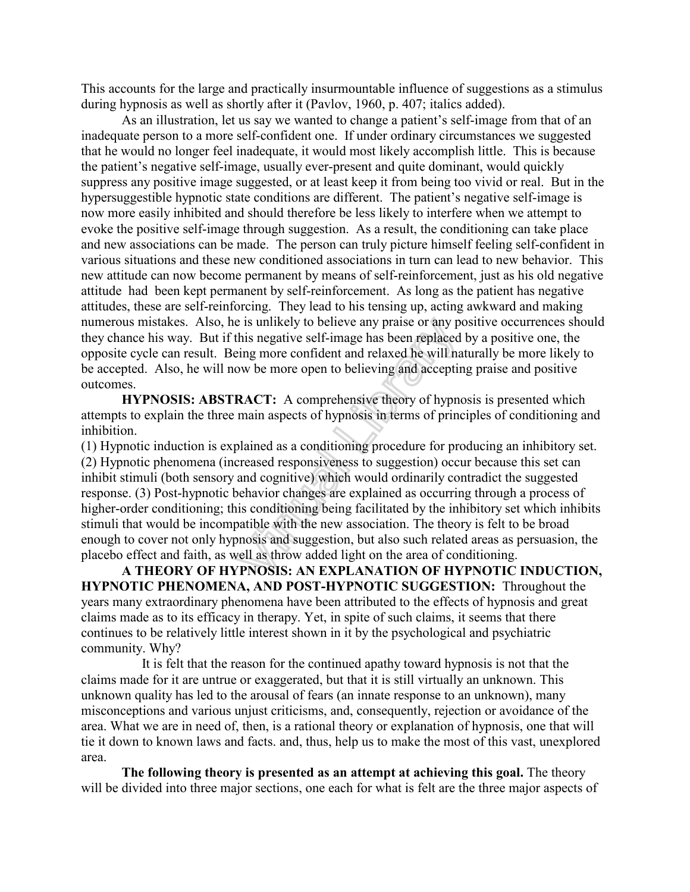This accounts for the large and practically insurmountable influence of suggestions as a stimulus during hypnosis as well as shortly after it (Pavlov, 1960, p. 407; italics added).

 As an illustration, let us say we wanted to change a patient's self-image from that of an inadequate person to a more self-confident one. If under ordinary circumstances we suggested that he would no longer feel inadequate, it would most likely accomplish little. This is because the patient's negative self-image, usually ever-present and quite dominant, would quickly suppress any positive image suggested, or at least keep it from being too vivid or real. But in the hypersuggestible hypnotic state conditions are different. The patient's negative self-image is now more easily inhibited and should therefore be less likely to interfere when we attempt to evoke the positive self-image through suggestion. As a result, the conditioning can take place and new associations can be made. The person can truly picture himself feeling self-confident in various situations and these new conditioned associations in turn can lead to new behavior. This new attitude can now become permanent by means of self-reinforcement, just as his old negative attitude had been kept permanent by self-reinforcement. As long as the patient has negative attitudes, these are self-reinforcing. They lead to his tensing up, acting awkward and making numerous mistakes. Also, he is unlikely to believe any praise or any positive occurrences should they chance his way. But if this negative self-image has been replaced by a positive one, the opposite cycle can result. Being more confident and relaxed he will naturally be more likely to be accepted. Also, he will now be more open to believing and accepting praise and positive outcomes.

**HYPNOSIS: ABSTRACT:** A comprehensive theory of hypnosis is presented which attempts to explain the three main aspects of hypnosis in terms of principles of conditioning and inhibition.

(1) Hypnotic induction is explained as a conditioning procedure for producing an inhibitory set. (2) Hypnotic phenomena (increased responsiveness to suggestion) occur because this set can inhibit stimuli (both sensory and cognitive) which would ordinarily contradict the suggested response. (3) Post-hypnotic behavior changes are explained as occurring through a process of higher-order conditioning; this conditioning being facilitated by the inhibitory set which inhibits stimuli that would be incompatible with the new association. The theory is felt to be broad enough to cover not only hypnosis and suggestion, but also such related areas as persuasion, the placebo effect and faith, as well as throw added light on the area of conditioning.

**A THEORY OF HYPNOSIS: AN EXPLANATION OF HYPNOTIC INDUCTION, HYPNOTIC PHENOMENA, AND POST-HYPNOTIC SUGGESTION:** Throughout the years many extraordinary phenomena have been attributed to the effects of hypnosis and great claims made as to its efficacy in therapy. Yet, in spite of such claims, it seems that there continues to be relatively little interest shown in it by the psychological and psychiatric community. Why?

 It is felt that the reason for the continued apathy toward hypnosis is not that the claims made for it are untrue or exaggerated, but that it is still virtually an unknown. This unknown quality has led to the arousal of fears (an innate response to an unknown), many misconceptions and various unjust criticisms, and, consequently, rejection or avoidance of the area. What we are in need of, then, is a rational theory or explanation of hypnosis, one that will tie it down to known laws and facts. and, thus, help us to make the most of this vast, unexplored area.

**The following theory is presented as an attempt at achieving this goal.** The theory will be divided into three major sections, one each for what is felt are the three major aspects of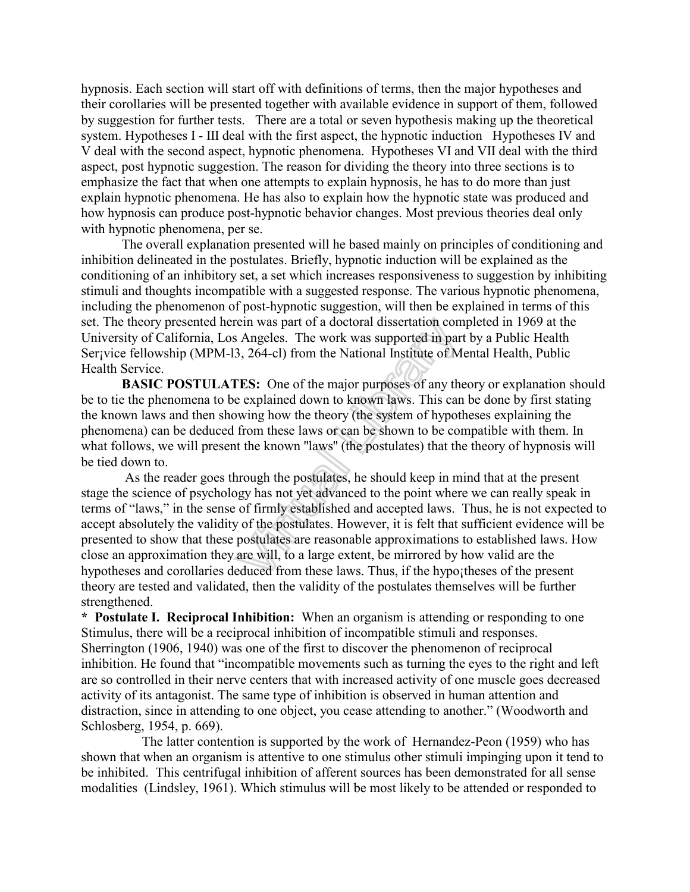hypnosis. Each section will start off with definitions of terms, then the major hypotheses and their corollaries will be presented together with available evidence in support of them, followed by suggestion for further tests. There are a total or seven hypothesis making up the theoretical system. Hypotheses I - III deal with the first aspect, the hypnotic induction Hypotheses IV and V deal with the second aspect, hypnotic phenomena. Hypotheses VI and VII deal with the third aspect, post hypnotic suggestion. The reason for dividing the theory into three sections is to emphasize the fact that when one attempts to explain hypnosis, he has to do more than just explain hypnotic phenomena. He has also to explain how the hypnotic state was produced and how hypnosis can produce post-hypnotic behavior changes. Most previous theories deal only with hypnotic phenomena, per se.

 The overall explanation presented will he based mainly on principles of conditioning and inhibition delineated in the postulates. Briefly, hypnotic induction will be explained as the conditioning of an inhibitory set, a set which increases responsiveness to suggestion by inhibiting stimuli and thoughts incompatible with a suggested response. The various hypnotic phenomena, including the phenomenon of post-hypnotic suggestion, will then be explained in terms of this set. The theory presented herein was part of a doctoral dissertation completed in 1969 at the University of California, Los Angeles. The work was supported in part by a Public Health Ser<sub>i</sub>vice fellowship (MPM-13, 264-cl) from the National Institute of Mental Health, Public Health Service.

**BASIC POSTULATES:** One of the major purposes of any theory or explanation should be to tie the phenomena to be explained down to known laws. This can be done by first stating the known laws and then showing how the theory (the system of hypotheses explaining the phenomena) can be deduced from these laws or can be shown to be compatible with them. In what follows, we will present the known "laws" (the postulates) that the theory of hypnosis will be tied down to.

 As the reader goes through the postulates, he should keep in mind that at the present stage the science of psychology has not yet advanced to the point where we can really speak in terms of "laws," in the sense of firmly established and accepted laws. Thus, he is not expected to accept absolutely the validity of the postulates. However, it is felt that sufficient evidence will be presented to show that these postulates are reasonable approximations to established laws. How close an approximation they are will, to a large extent, be mirrored by how valid are the hypotheses and corollaries deduced from these laws. Thus, if the hypo<sub>i</sub>theses of the present theory are tested and validated, then the validity of the postulates themselves will be further strengthened.

**\* Postulate I. Reciprocal Inhibition:** When an organism is attending or responding to one Stimulus, there will be a reciprocal inhibition of incompatible stimuli and responses. Sherrington (1906, 1940) was one of the first to discover the phenomenon of reciprocal inhibition. He found that "incompatible movements such as turning the eyes to the right and left are so controlled in their nerve centers that with increased activity of one muscle goes decreased activity of its antagonist. The same type of inhibition is observed in human attention and distraction, since in attending to one object, you cease attending to another." (Woodworth and Schlosberg, 1954, p. 669).

 The latter contention is supported by the work of Hernandez-Peon (1959) who has shown that when an organism is attentive to one stimulus other stimuli impinging upon it tend to be inhibited. This centrifugal inhibition of afferent sources has been demonstrated for all sense modalities (Lindsley, 1961). Which stimulus will be most likely to be attended or responded to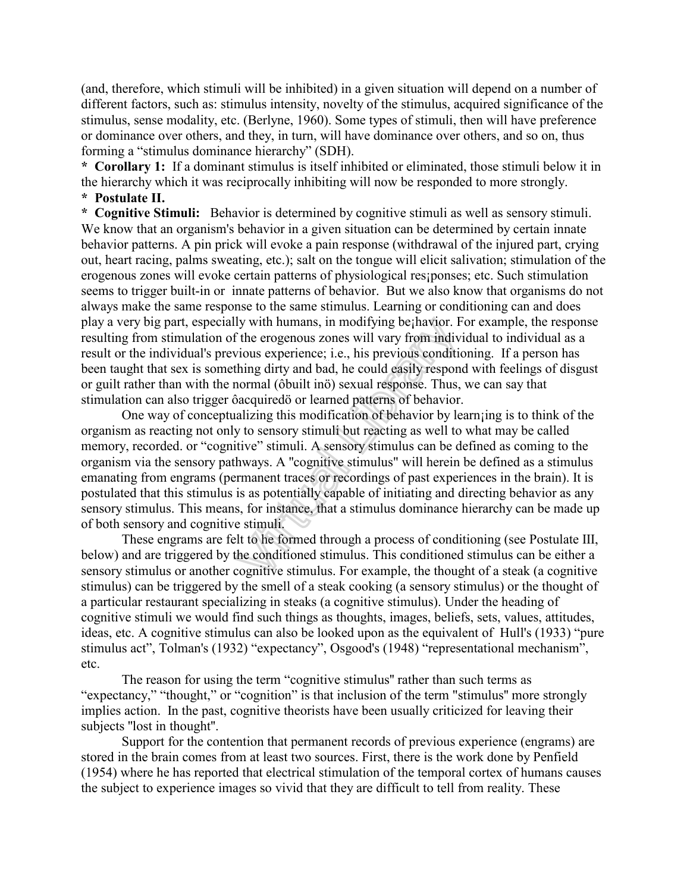(and, therefore, which stimuli will be inhibited) in a given situation will depend on a number of different factors, such as: stimulus intensity, novelty of the stimulus, acquired significance of the stimulus, sense modality, etc. (Berlyne, 1960). Some types of stimuli, then will have preference or dominance over others, and they, in turn, will have dominance over others, and so on, thus forming a "stimulus dominance hierarchy" (SDH).

**\* Corollary 1:** If a dominant stimulus is itself inhibited or eliminated, those stimuli below it in the hierarchy which it was reciprocally inhibiting will now be responded to more strongly. **\* Postulate II.**

**\* Cognitive Stimuli:** Behavior is determined by cognitive stimuli as well as sensory stimuli. We know that an organism's behavior in a given situation can be determined by certain innate behavior patterns. A pin prick will evoke a pain response (withdrawal of the injured part, crying out, heart racing, palms sweating, etc.); salt on the tongue will elicit salivation; stimulation of the erogenous zones will evoke certain patterns of physiological res¡ponses; etc. Such stimulation seems to trigger built-in or innate patterns of behavior. But we also know that organisms do not always make the same response to the same stimulus. Learning or conditioning can and does play a very big part, especially with humans, in modifying be¡havior. For example, the response resulting from stimulation of the erogenous zones will vary from individual to individual as a result or the individual's previous experience; i.e., his previous conditioning. If a person has been taught that sex is something dirty and bad, he could easily respond with feelings of disgust or guilt rather than with the normal (ôbuilt inö) sexual response. Thus, we can say that stimulation can also trigger ôacquiredö or learned patterns of behavior.

One way of conceptualizing this modification of behavior by learning is to think of the organism as reacting not only to sensory stimuli but reacting as well to what may be called memory, recorded. or "cognitive" stimuli. A sensory stimulus can be defined as coming to the organism via the sensory pathways. A ''cognitive stimulus" will herein be defined as a stimulus emanating from engrams (permanent traces or recordings of past experiences in the brain). It is postulated that this stimulus is as potentially capable of initiating and directing behavior as any sensory stimulus. This means, for instance, that a stimulus dominance hierarchy can be made up of both sensory and cognitive stimuli.

 These engrams are felt to he formed through a process of conditioning (see Postulate III, below) and are triggered by the conditioned stimulus. This conditioned stimulus can be either a sensory stimulus or another cognitive stimulus. For example, the thought of a steak (a cognitive stimulus) can be triggered by the smell of a steak cooking (a sensory stimulus) or the thought of a particular restaurant specializing in steaks (a cognitive stimulus). Under the heading of cognitive stimuli we would find such things as thoughts, images, beliefs, sets, values, attitudes, ideas, etc. A cognitive stimulus can also be looked upon as the equivalent of Hull's (1933) "pure stimulus act", Tolman's (1932) "expectancy", Osgood's (1948) "representational mechanism", etc.

 The reason for using the term "cognitive stimulus'' rather than such terms as "expectancy," "thought," or "cognition" is that inclusion of the term "stimulus" more strongly implies action. In the past, cognitive theorists have been usually criticized for leaving their subjects ''lost in thought''.

 Support for the contention that permanent records of previous experience (engrams) are stored in the brain comes from at least two sources. First, there is the work done by Penfield (1954) where he has reported that electrical stimulation of the temporal cortex of humans causes the subject to experience images so vivid that they are difficult to tell from reality. These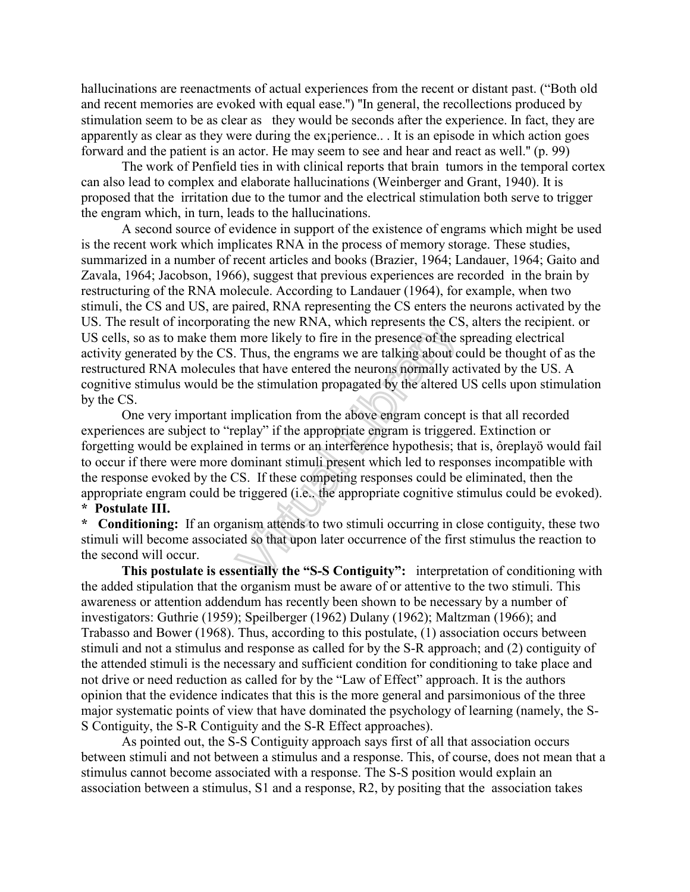hallucinations are reenactments of actual experiences from the recent or distant past. ("Both old and recent memories are evoked with equal ease.'') ''In general, the recollections produced by stimulation seem to be as clear as they would be seconds after the experience. In fact, they are apparently as clear as they were during the ex†perience... It is an episode in which action goes forward and the patient is an actor. He may seem to see and hear and react as well.'' (p. 99)

 The work of Penfield ties in with clinical reports that brain tumors in the temporal cortex can also lead to complex and elaborate hallucinations (Weinberger and Grant, 1940). It is proposed that the irritation due to the tumor and the electrical stimulation both serve to trigger the engram which, in turn, leads to the hallucinations.

 A second source of evidence in support of the existence of engrams which might be used is the recent work which implicates RNA in the process of memory storage. These studies, summarized in a number of recent articles and books (Brazier, 1964; Landauer, 1964; Gaito and Zavala, 1964; Jacobson, 1966), suggest that previous experiences are recorded in the brain by restructuring of the RNA molecule. According to Landauer (1964), for example, when two stimuli, the CS and US, are paired, RNA representing the CS enters the neurons activated by the US. The result of incorporating the new RNA, which represents the CS, alters the recipient. or US cells, so as to make them more likely to fire in the presence of the spreading electrical activity generated by the CS. Thus, the engrams we are talking about could be thought of as the restructured RNA molecules that have entered the neurons normally activated by the US. A cognitive stimulus would be the stimulation propagated by the altered US cells upon stimulation by the CS.

 One very important implication from the above engram concept is that all recorded experiences are subject to "replay" if the appropriate engram is triggered. Extinction or forgetting would be explained in terms or an interference hypothesis; that is, ôreplayö would fail to occur if there were more dominant stimuli present which led to responses incompatible with the response evoked by the CS. If these competing responses could be eliminated, then the appropriate engram could be triggered (i.e.. the appropriate cognitive stimulus could be evoked).

# **\* Postulate III.**

**\* Conditioning:** If an organism attends to two stimuli occurring in close contiguity, these two stimuli will become associated so that upon later occurrence of the first stimulus the reaction to the second will occur.

**This postulate is essentially the "S-S Contiguity":** interpretation of conditioning with the added stipulation that the organism must be aware of or attentive to the two stimuli. This awareness or attention addendum has recently been shown to be necessary by a number of investigators: Guthrie (1959); Speilberger (1962) Dulany (1962); Maltzman (1966); and Trabasso and Bower (1968). Thus, according to this postulate, (1) association occurs between stimuli and not a stimulus and response as called for by the S-R approach; and (2) contiguity of the attended stimuli is the necessary and sufficient condition for conditioning to take place and not drive or need reduction as called for by the "Law of Effect" approach. It is the authors opinion that the evidence indicates that this is the more general and parsimonious of the three major systematic points of view that have dominated the psychology of learning (namely, the S-S Contiguity, the S-R Contiguity and the S-R Effect approaches).

 As pointed out, the S-S Contiguity approach says first of all that association occurs between stimuli and not between a stimulus and a response. This, of course, does not mean that a stimulus cannot become associated with a response. The S-S position would explain an association between a stimulus, S1 and a response, R2, by positing that the association takes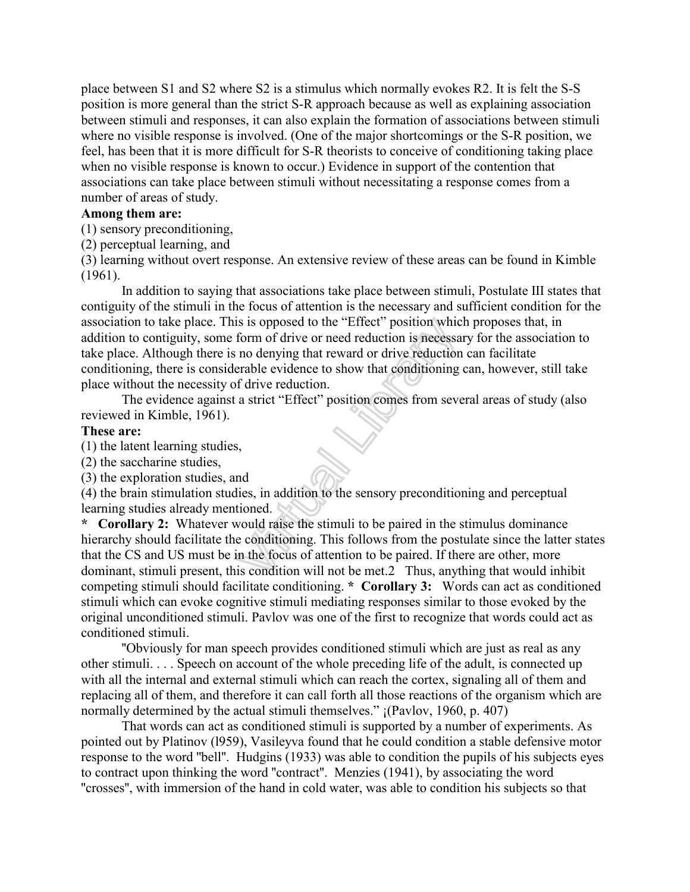place between S1 and S2 where S2 is a stimulus which normally evokes R2. It is felt the S-S position is more general than the strict S-R approach because as well as explaining association between stimuli and responses, it can also explain the formation of associations between stimuli where no visible response is involved. (One of the major shortcomings or the S-R position, we feel, has been that it is more difficult for S-R theorists to conceive of conditioning taking place when no visible response is known to occur.) Evidence in support of the contention that associations can take place between stimuli without necessitating a response comes from a number of areas of study.

### **Among them are:**

(1) sensory preconditioning,

(2) perceptual learning, and

(3) learning without overt response. An extensive review of these areas can be found in Kimble (1961).

 In addition to saying that associations take place between stimuli, Postulate III states that contiguity of the stimuli in the focus of attention is the necessary and sufficient condition for the association to take place. This is opposed to the "Effect" position which proposes that, in addition to contiguity, some form of drive or need reduction is necessary for the association to take place. Although there is no denying that reward or drive reduction can facilitate conditioning, there is considerable evidence to show that conditioning can, however, still take place without the necessity of drive reduction.

 The evidence against a strict "Effect" position comes from several areas of study (also reviewed in Kimble, 1961).

#### **These are:**

(1) the latent learning studies,

- (2) the saccharine studies,
- (3) the exploration studies, and

(4) the brain stimulation studies, in addition to the sensory preconditioning and perceptual learning studies already mentioned.

**\* Corollary 2:** Whatever would raise the stimuli to be paired in the stimulus dominance hierarchy should facilitate the conditioning. This follows from the postulate since the latter states that the CS and US must be in the focus of attention to be paired. If there are other, more dominant, stimuli present, this condition will not be met.2 Thus, anything that would inhibit competing stimuli should facilitate conditioning. **\* Corollary 3:** Words can act as conditioned stimuli which can evoke cognitive stimuli mediating responses similar to those evoked by the original unconditioned stimuli. Pavlov was one of the first to recognize that words could act as conditioned stimuli.

 ''Obviously for man speech provides conditioned stimuli which are just as real as any other stimuli. . . . Speech on account of the whole preceding life of the adult, is connected up with all the internal and external stimuli which can reach the cortex, signaling all of them and replacing all of them, and therefore it can call forth all those reactions of the organism which are normally determined by the actual stimuli themselves." (Pavlov, 1960, p. 407)

 That words can act as conditioned stimuli is supported by a number of experiments. As pointed out by Platinov (l959), Vasileyva found that he could condition a stable defensive motor response to the word ''bell''. Hudgins (1933) was able to condition the pupils of his subjects eyes to contract upon thinking the word ''contract''. Menzies (1941), by associating the word ''crosses'', with immersion of the hand in cold water, was able to condition his subjects so that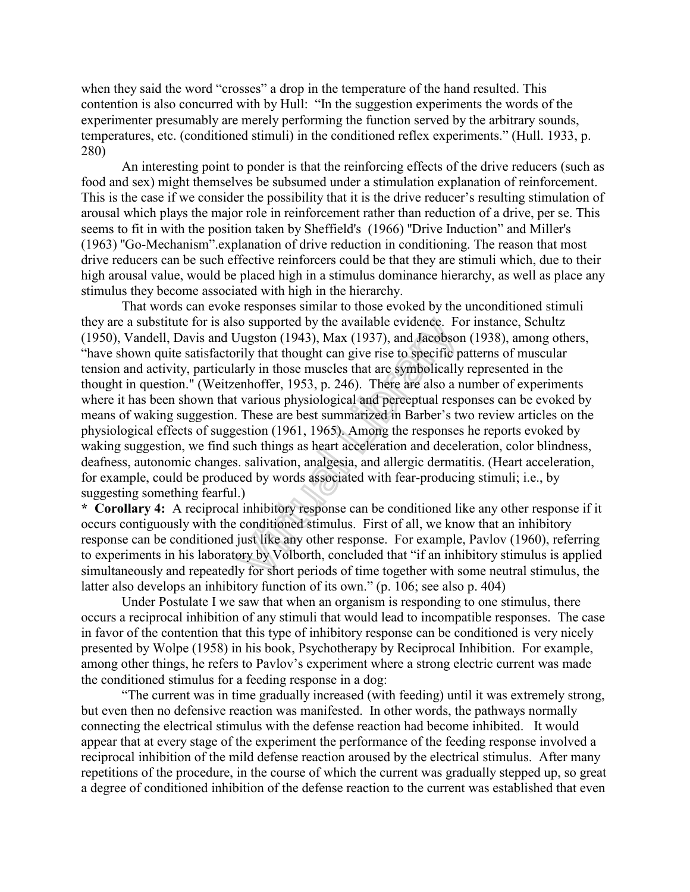when they said the word "crosses" a drop in the temperature of the hand resulted. This contention is also concurred with by Hull: "In the suggestion experiments the words of the experimenter presumably are merely performing the function served by the arbitrary sounds, temperatures, etc. (conditioned stimuli) in the conditioned reflex experiments." (Hull. 1933, p. 280)

 An interesting point to ponder is that the reinforcing effects of the drive reducers (such as food and sex) might themselves be subsumed under a stimulation explanation of reinforcement. This is the case if we consider the possibility that it is the drive reducer's resulting stimulation of arousal which plays the major role in reinforcement rather than reduction of a drive, per se. This seems to fit in with the position taken by Sheffield's (1966) ''Drive Induction" and Miller's (1963) ''Go-Mechanism".explanation of drive reduction in conditioning. The reason that most drive reducers can be such effective reinforcers could be that they are stimuli which, due to their high arousal value, would be placed high in a stimulus dominance hierarchy, as well as place any stimulus they become associated with high in the hierarchy.

 That words can evoke responses similar to those evoked by the unconditioned stimuli they are a substitute for is also supported by the available evidence. For instance, Schultz (1950), Vandell, Davis and Uugston (1943), Max (1937), and Jacobson (1938), among others, "have shown quite satisfactorily that thought can give rise to specific patterns of muscular tension and activity, particularly in those muscles that are symbolically represented in the thought in question." (Weitzenhoffer, 1953, p. 246). There are also a number of experiments where it has been shown that various physiological and perceptual responses can be evoked by means of waking suggestion. These are best summarized in Barber's two review articles on the physiological effects of suggestion (1961, 1965). Among the responses he reports evoked by waking suggestion, we find such things as heart acceleration and deceleration, color blindness, deafness, autonomic changes. salivation, analgesia, and allergic dermatitis. (Heart acceleration, for example, could be produced by words associated with fear-producing stimuli; i.e., by suggesting something fearful.)

**\* Corollary 4:** A reciprocal inhibitory response can be conditioned like any other response if it occurs contiguously with the conditioned stimulus. First of all, we know that an inhibitory response can be conditioned just like any other response. For example, Pavlov (1960), referring to experiments in his laboratory by Volborth, concluded that "if an inhibitory stimulus is applied simultaneously and repeatedly for short periods of time together with some neutral stimulus, the latter also develops an inhibitory function of its own." (p. 106; see also p. 404)

 Under Postulate I we saw that when an organism is responding to one stimulus, there occurs a reciprocal inhibition of any stimuli that would lead to incompatible responses. The case in favor of the contention that this type of inhibitory response can be conditioned is very nicely presented by Wolpe (1958) in his book, Psychotherapy by Reciprocal Inhibition. For example, among other things, he refers to Pavlov's experiment where a strong electric current was made the conditioned stimulus for a feeding response in a dog:

 "The current was in time gradually increased (with feeding) until it was extremely strong, but even then no defensive reaction was manifested. In other words, the pathways normally connecting the electrical stimulus with the defense reaction had become inhibited. It would appear that at every stage of the experiment the performance of the feeding response involved a reciprocal inhibition of the mild defense reaction aroused by the electrical stimulus. After many repetitions of the procedure, in the course of which the current was gradually stepped up, so great a degree of conditioned inhibition of the defense reaction to the current was established that even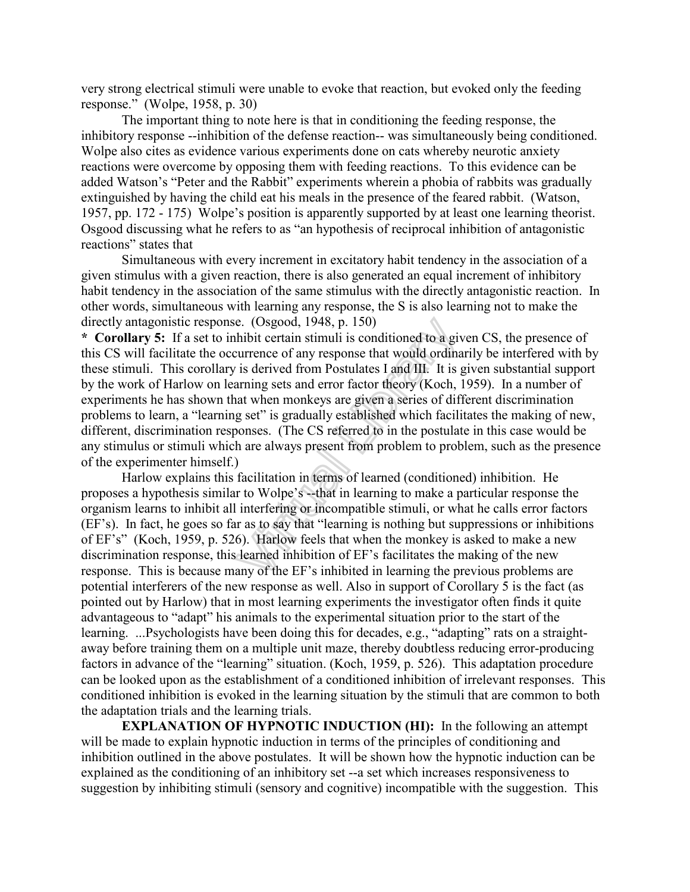very strong electrical stimuli were unable to evoke that reaction, but evoked only the feeding response." (Wolpe, 1958, p. 30)

 The important thing to note here is that in conditioning the feeding response, the inhibitory response --inhibition of the defense reaction-- was simultaneously being conditioned. Wolpe also cites as evidence various experiments done on cats whereby neurotic anxiety reactions were overcome by opposing them with feeding reactions. To this evidence can be added Watson's "Peter and the Rabbit" experiments wherein a phobia of rabbits was gradually extinguished by having the child eat his meals in the presence of the feared rabbit. (Watson, 1957, pp. 172 - 175) Wolpe's position is apparently supported by at least one learning theorist. Osgood discussing what he refers to as "an hypothesis of reciprocal inhibition of antagonistic reactions" states that

 Simultaneous with every increment in excitatory habit tendency in the association of a given stimulus with a given reaction, there is also generated an equal increment of inhibitory habit tendency in the association of the same stimulus with the directly antagonistic reaction. In other words, simultaneous with learning any response, the S is also learning not to make the directly antagonistic response. (Osgood, 1948, p. 150)

**\* Corollary 5:** If a set to inhibit certain stimuli is conditioned to a given CS, the presence of this CS will facilitate the occurrence of any response that would ordinarily be interfered with by these stimuli. This corollary is derived from Postulates I and III. It is given substantial support by the work of Harlow on learning sets and error factor theory (Koch, 1959). In a number of experiments he has shown that when monkeys are given a series of different discrimination problems to learn, a "learning set" is gradually established which facilitates the making of new, different, discrimination responses. (The CS referred to in the postulate in this case would be any stimulus or stimuli which are always present from problem to problem, such as the presence of the experimenter himself.)

 Harlow explains this facilitation in terms of learned (conditioned) inhibition. He proposes a hypothesis similar to Wolpe's --that in learning to make a particular response the organism learns to inhibit all interfering or incompatible stimuli, or what he calls error factors (EF's). In fact, he goes so far as to say that "learning is nothing but suppressions or inhibitions of EF's" (Koch, 1959, p. 526). Harlow feels that when the monkey is asked to make a new discrimination response, this learned inhibition of EF's facilitates the making of the new response. This is because many of the EF's inhibited in learning the previous problems are potential interferers of the new response as well. Also in support of Corollary 5 is the fact (as pointed out by Harlow) that in most learning experiments the investigator often finds it quite advantageous to "adapt" his animals to the experimental situation prior to the start of the learning. ...Psychologists have been doing this for decades, e.g., "adapting" rats on a straightaway before training them on a multiple unit maze, thereby doubtless reducing error-producing factors in advance of the "learning" situation. (Koch, 1959, p. 526). This adaptation procedure can be looked upon as the establishment of a conditioned inhibition of irrelevant responses. This conditioned inhibition is evoked in the learning situation by the stimuli that are common to both the adaptation trials and the learning trials.

**EXPLANATION OF HYPNOTIC INDUCTION (HI):** In the following an attempt will be made to explain hypnotic induction in terms of the principles of conditioning and inhibition outlined in the above postulates. It will be shown how the hypnotic induction can be explained as the conditioning of an inhibitory set --a set which increases responsiveness to suggestion by inhibiting stimuli (sensory and cognitive) incompatible with the suggestion. This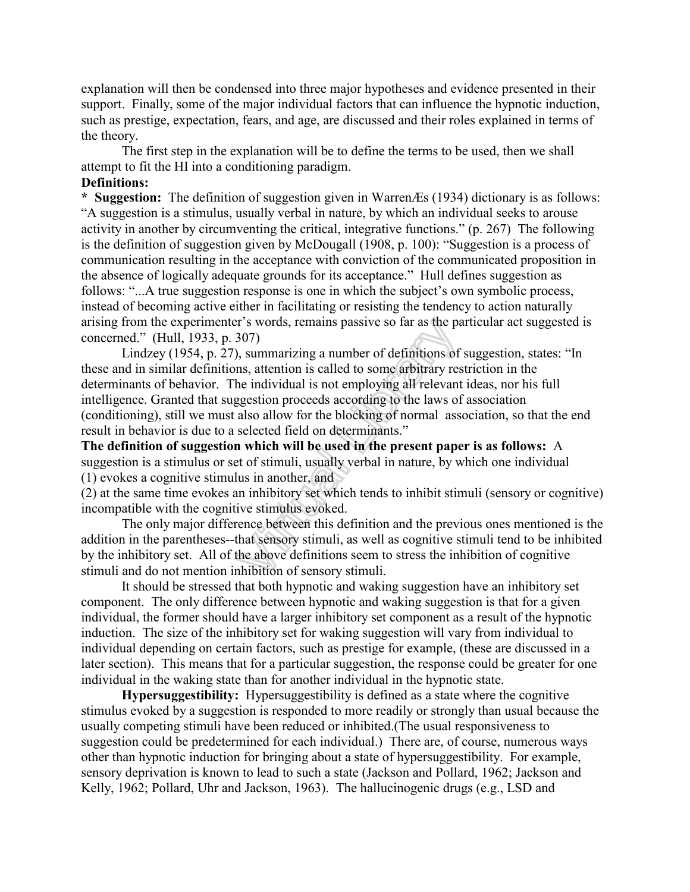explanation will then be condensed into three major hypotheses and evidence presented in their support. Finally, some of the major individual factors that can influence the hypnotic induction, such as prestige, expectation, fears, and age, are discussed and their roles explained in terms of the theory.

 The first step in the explanation will be to define the terms to be used, then we shall attempt to fit the HI into a conditioning paradigm.

## **Definitions:**

**\* Suggestion:** The definition of suggestion given in WarrenÆs (1934) dictionary is as follows: "A suggestion is a stimulus, usually verbal in nature, by which an individual seeks to arouse activity in another by circumventing the critical, integrative functions." (p. 267) The following is the definition of suggestion given by McDougall (1908, p. 100): "Suggestion is a process of communication resulting in the acceptance with conviction of the communicated proposition in the absence of logically adequate grounds for its acceptance." Hull defines suggestion as follows: "...A true suggestion response is one in which the subject's own symbolic process, instead of becoming active either in facilitating or resisting the tendency to action naturally arising from the experimenter's words, remains passive so far as the particular act suggested is concerned." (Hull, 1933, p. 307)

 Lindzey (1954, p. 27), summarizing a number of definitions of suggestion, states: "In these and in similar definitions, attention is called to some arbitrary restriction in the determinants of behavior. The individual is not employing all relevant ideas, nor his full intelligence. Granted that suggestion proceeds according to the laws of association (conditioning), still we must also allow for the blocking of normal association, so that the end result in behavior is due to a selected field on determinants."

**The definition of suggestion which will be used in the present paper is as follows:** A suggestion is a stimulus or set of stimuli, usually verbal in nature, by which one individual (1) evokes a cognitive stimulus in another, and

(2) at the same time evokes an inhibitory set which tends to inhibit stimuli (sensory or cognitive) incompatible with the cognitive stimulus evoked.

 The only major difference between this definition and the previous ones mentioned is the addition in the parentheses--that sensory stimuli, as well as cognitive stimuli tend to be inhibited by the inhibitory set. All of the above definitions seem to stress the inhibition of cognitive stimuli and do not mention inhibition of sensory stimuli.

 It should be stressed that both hypnotic and waking suggestion have an inhibitory set component. The only difference between hypnotic and waking suggestion is that for a given individual, the former should have a larger inhibitory set component as a result of the hypnotic induction. The size of the inhibitory set for waking suggestion will vary from individual to individual depending on certain factors, such as prestige for example, (these are discussed in a later section). This means that for a particular suggestion, the response could be greater for one individual in the waking state than for another individual in the hypnotic state.

**Hypersuggestibility:** Hypersuggestibility is defined as a state where the cognitive stimulus evoked by a suggestion is responded to more readily or strongly than usual because the usually competing stimuli have been reduced or inhibited.(The usual responsiveness to suggestion could be predetermined for each individual.) There are, of course, numerous ways other than hypnotic induction for bringing about a state of hypersuggestibility. For example, sensory deprivation is known to lead to such a state (Jackson and Pollard, 1962; Jackson and Kelly, 1962; Pollard, Uhr and Jackson, 1963). The hallucinogenic drugs (e.g., LSD and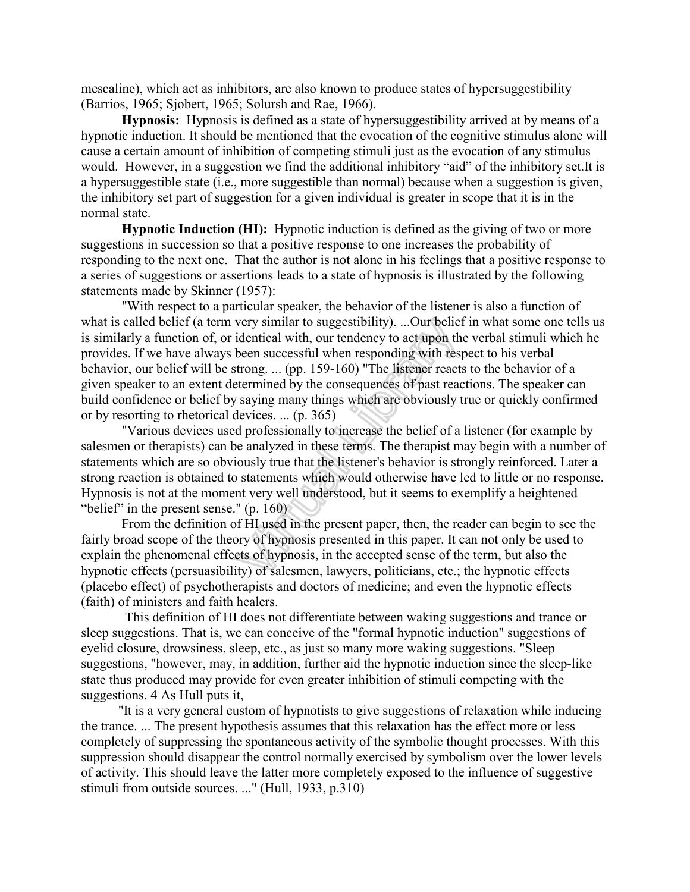mescaline), which act as inhibitors, are also known to produce states of hypersuggestibility (Barrios, 1965; Sjobert, 1965; Solursh and Rae, 1966).

**Hypnosis:** Hypnosis is defined as a state of hypersuggestibility arrived at by means of a hypnotic induction. It should be mentioned that the evocation of the cognitive stimulus alone will cause a certain amount of inhibition of competing stimuli just as the evocation of any stimulus would. However, in a suggestion we find the additional inhibitory "aid" of the inhibitory set.It is a hypersuggestible state (i.e., more suggestible than normal) because when a suggestion is given, the inhibitory set part of suggestion for a given individual is greater in scope that it is in the normal state.

**Hypnotic Induction (HI):** Hypnotic induction is defined as the giving of two or more suggestions in succession so that a positive response to one increases the probability of responding to the next one. That the author is not alone in his feelings that a positive response to a series of suggestions or assertions leads to a state of hypnosis is illustrated by the following statements made by Skinner (1957):

 "With respect to a particular speaker, the behavior of the listener is also a function of what is called belief (a term very similar to suggestibility). ...Our belief in what some one tells us is similarly a function of, or identical with, our tendency to act upon the verbal stimuli which he provides. If we have always been successful when responding with respect to his verbal behavior, our belief will be strong. ... (pp. 159-160) "The listener reacts to the behavior of a given speaker to an extent determined by the consequences of past reactions. The speaker can build confidence or belief by saying many things which are obviously true or quickly confirmed or by resorting to rhetorical devices. ... (p. 365)

 "Various devices used professionally to increase the belief of a listener (for example by salesmen or therapists) can be analyzed in these terms. The therapist may begin with a number of statements which are so obviously true that the listener's behavior is strongly reinforced. Later a strong reaction is obtained to statements which would otherwise have led to little or no response. Hypnosis is not at the moment very well understood, but it seems to exemplify a heightened "belief" in the present sense." (p. 160)

 From the definition of HI used in the present paper, then, the reader can begin to see the fairly broad scope of the theory of hypnosis presented in this paper. It can not only be used to explain the phenomenal effects of hypnosis, in the accepted sense of the term, but also the hypnotic effects (persuasibility) of salesmen, lawyers, politicians, etc.; the hypnotic effects (placebo effect) of psychotherapists and doctors of medicine; and even the hypnotic effects (faith) of ministers and faith healers.

 This definition of HI does not differentiate between waking suggestions and trance or sleep suggestions. That is, we can conceive of the "formal hypnotic induction" suggestions of eyelid closure, drowsiness, sleep, etc., as just so many more waking suggestions. "Sleep suggestions, "however, may, in addition, further aid the hypnotic induction since the sleep-like state thus produced may provide for even greater inhibition of stimuli competing with the suggestions. 4 As Hull puts it,

 "It is a very general custom of hypnotists to give suggestions of relaxation while inducing the trance. ... The present hypothesis assumes that this relaxation has the effect more or less completely of suppressing the spontaneous activity of the symbolic thought processes. With this suppression should disappear the control normally exercised by symbolism over the lower levels of activity. This should leave the latter more completely exposed to the influence of suggestive stimuli from outside sources. ..." (Hull, 1933, p.310)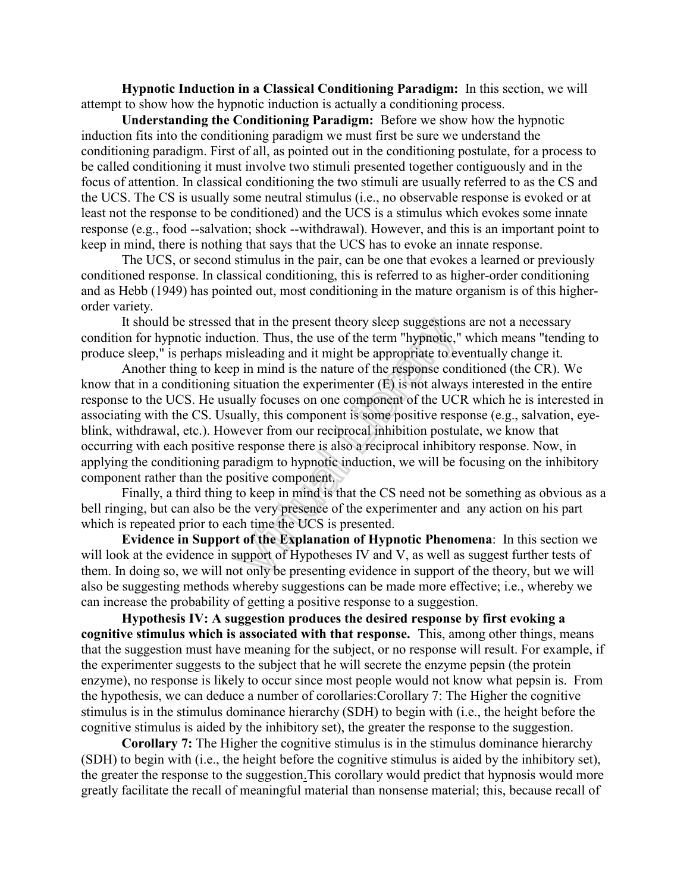**Hypnotic Induction in a Classical Conditioning Paradigm:** In this section, we will attempt to show how the hypnotic induction is actually a conditioning process.

 **Understanding the Conditioning Paradigm:** Before we show how the hypnotic induction fits into the conditioning paradigm we must first be sure we understand the conditioning paradigm. First of all, as pointed out in the conditioning postulate, for a process to be called conditioning it must involve two stimuli presented together contiguously and in the focus of attention. In classical conditioning the two stimuli are usually referred to as the CS and the UCS. The CS is usually some neutral stimulus (i.e., no observable response is evoked or at least not the response to be conditioned) and the UCS is a stimulus which evokes some innate response (e.g., food --salvation; shock --withdrawal). However, and this is an important point to keep in mind, there is nothing that says that the UCS has to evoke an innate response.

 The UCS, or second stimulus in the pair, can be one that evokes a learned or previously conditioned response. In classical conditioning, this is referred to as higher-order conditioning and as Hebb (1949) has pointed out, most conditioning in the mature organism is of this higherorder variety.

 It should be stressed that in the present theory sleep suggestions are not a necessary condition for hypnotic induction. Thus, the use of the term "hypnotic," which means "tending to produce sleep," is perhaps misleading and it might be appropriate to eventually change it.

 Another thing to keep in mind is the nature of the response conditioned (the CR). We know that in a conditioning situation the experimenter (E) is not always interested in the entire response to the UCS. He usually focuses on one component of the UCR which he is interested in associating with the CS. Usually, this component is some positive response (e.g., salvation, eyeblink, withdrawal, etc.). However from our reciprocal inhibition postulate, we know that occurring with each positive response there is also a reciprocal inhibitory response. Now, in applying the conditioning paradigm to hypnotic induction, we will be focusing on the inhibitory component rather than the positive component.

 Finally, a third thing to keep in mind is that the CS need not be something as obvious as a bell ringing, but can also be the very presence of the experimenter and any action on his part which is repeated prior to each time the UCS is presented.

**Evidence in Support of the Explanation of Hypnotic Phenomena**: In this section we will look at the evidence in support of Hypotheses IV and V, as well as suggest further tests of them. In doing so, we will not only be presenting evidence in support of the theory, but we will also be suggesting methods whereby suggestions can be made more effective; i.e., whereby we can increase the probability of getting a positive response to a suggestion.

**Hypothesis IV: A suggestion produces the desired response by first evoking a cognitive stimulus which is associated with that response.** This, among other things, means that the suggestion must have meaning for the subject, or no response will result. For example, if the experimenter suggests to the subject that he will secrete the enzyme pepsin (the protein enzyme), no response is likely to occur since most people would not know what pepsin is. From the hypothesis, we can deduce a number of corollaries:Corollary 7: The Higher the cognitive stimulus is in the stimulus dominance hierarchy (SDH) to begin with (i.e., the height before the cognitive stimulus is aided by the inhibitory set), the greater the response to the suggestion.

**Corollary 7:** The Higher the cognitive stimulus is in the stimulus dominance hierarchy (SDH) to begin with (i.e., the height before the cognitive stimulus is aided by the inhibitory set), the greater the response to the suggestion.This corollary would predict that hypnosis would more greatly facilitate the recall of meaningful material than nonsense material; this, because recall of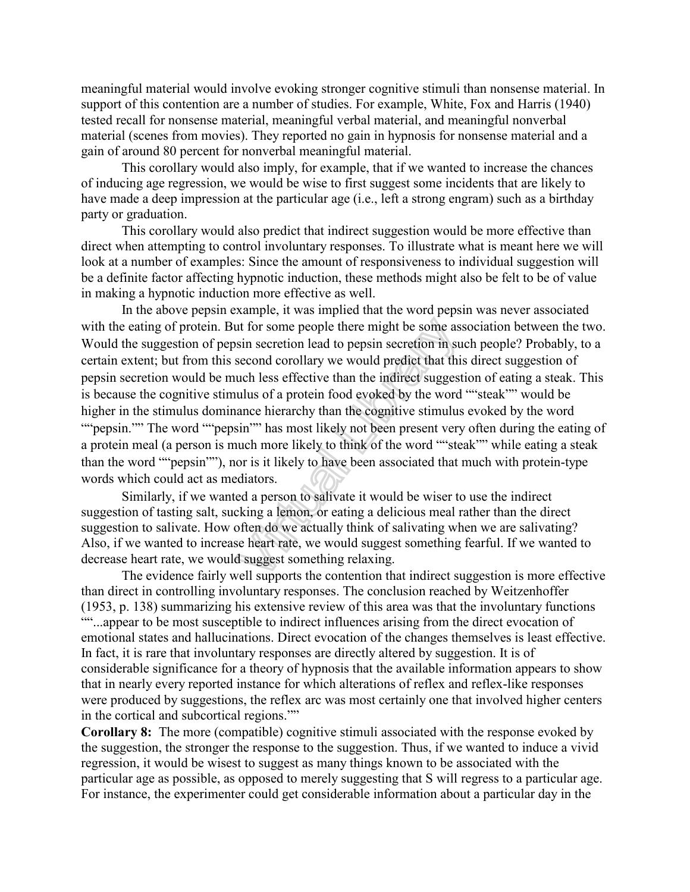meaningful material would involve evoking stronger cognitive stimuli than nonsense material. In support of this contention are a number of studies. For example, White, Fox and Harris (1940) tested recall for nonsense material, meaningful verbal material, and meaningful nonverbal material (scenes from movies). They reported no gain in hypnosis for nonsense material and a gain of around 80 percent for nonverbal meaningful material.

 This corollary would also imply, for example, that if we wanted to increase the chances of inducing age regression, we would be wise to first suggest some incidents that are likely to have made a deep impression at the particular age (i.e., left a strong engram) such as a birthday party or graduation.

 This corollary would also predict that indirect suggestion would be more effective than direct when attempting to control involuntary responses. To illustrate what is meant here we will look at a number of examples: Since the amount of responsiveness to individual suggestion will be a definite factor affecting hypnotic induction, these methods might also be felt to be of value in making a hypnotic induction more effective as well.

In the above pepsin example, it was implied that the word pepsin was never associated with the eating of protein. But for some people there might be some association between the two. Would the suggestion of pepsin secretion lead to pepsin secretion in such people? Probably, to a certain extent; but from this second corollary we would predict that this direct suggestion of pepsin secretion would be much less effective than the indirect suggestion of eating a steak. This is because the cognitive stimulus of a protein food evoked by the word ""steak"" would be higher in the stimulus dominance hierarchy than the cognitive stimulus evoked by the word ""pepsin."" The word ""pepsin"" has most likely not been present very often during the eating of a protein meal (a person is much more likely to think of the word ""steak"" while eating a steak than the word ""pepsin""), nor is it likely to have been associated that much with protein-type words which could act as mediators.

 Similarly, if we wanted a person to salivate it would be wiser to use the indirect suggestion of tasting salt, sucking a lemon, or eating a delicious meal rather than the direct suggestion to salivate. How often do we actually think of salivating when we are salivating? Also, if we wanted to increase heart rate, we would suggest something fearful. If we wanted to decrease heart rate, we would suggest something relaxing.

 The evidence fairly well supports the contention that indirect suggestion is more effective than direct in controlling involuntary responses. The conclusion reached by Weitzenhoffer (1953, p. 138) summarizing his extensive review of this area was that the involuntary functions ""...appear to be most susceptible to indirect influences arising from the direct evocation of emotional states and hallucinations. Direct evocation of the changes themselves is least effective. In fact, it is rare that involuntary responses are directly altered by suggestion. It is of considerable significance for a theory of hypnosis that the available information appears to show that in nearly every reported instance for which alterations of reflex and reflex-like responses were produced by suggestions, the reflex arc was most certainly one that involved higher centers in the cortical and subcortical regions.""

**Corollary 8:** The more (compatible) cognitive stimuli associated with the response evoked by the suggestion, the stronger the response to the suggestion. Thus, if we wanted to induce a vivid regression, it would be wisest to suggest as many things known to be associated with the particular age as possible, as opposed to merely suggesting that S will regress to a particular age. For instance, the experimenter could get considerable information about a particular day in the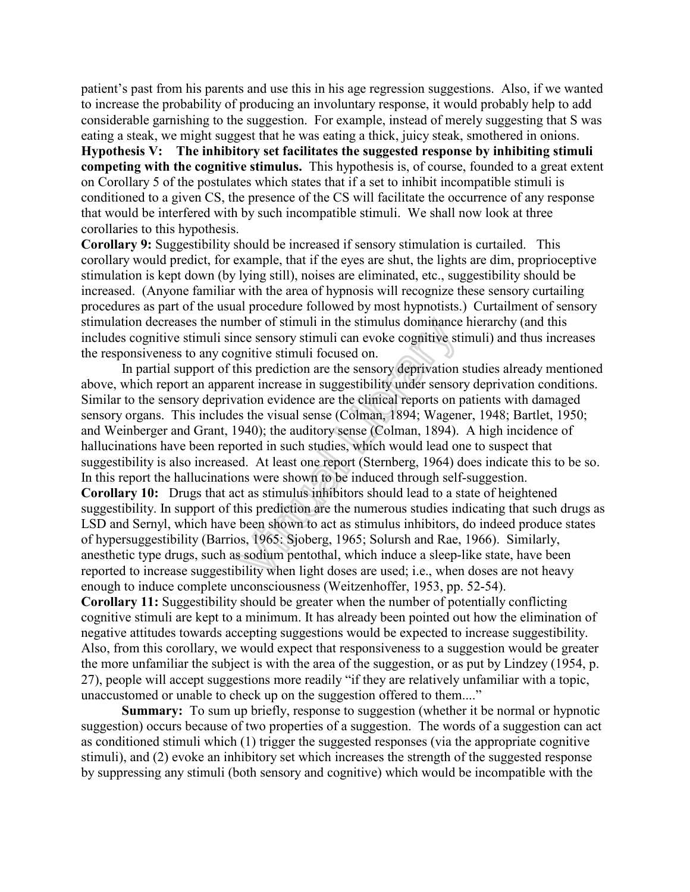patient's past from his parents and use this in his age regression suggestions. Also, if we wanted to increase the probability of producing an involuntary response, it would probably help to add considerable garnishing to the suggestion. For example, instead of merely suggesting that S was eating a steak, we might suggest that he was eating a thick, juicy steak, smothered in onions. **Hypothesis V: The inhibitory set facilitates the suggested response by inhibiting stimuli competing with the cognitive stimulus.** This hypothesis is, of course, founded to a great extent on Corollary 5 of the postulates which states that if a set to inhibit incompatible stimuli is conditioned to a given CS, the presence of the CS will facilitate the occurrence of any response that would be interfered with by such incompatible stimuli. We shall now look at three corollaries to this hypothesis.

**Corollary 9:** Suggestibility should be increased if sensory stimulation is curtailed. This corollary would predict, for example, that if the eyes are shut, the lights are dim, proprioceptive stimulation is kept down (by lying still), noises are eliminated, etc., suggestibility should be increased. (Anyone familiar with the area of hypnosis will recognize these sensory curtailing procedures as part of the usual procedure followed by most hypnotists.) Curtailment of sensory stimulation decreases the number of stimuli in the stimulus dominance hierarchy (and this includes cognitive stimuli since sensory stimuli can evoke cognitive stimuli) and thus increases the responsiveness to any cognitive stimuli focused on.

 In partial support of this prediction are the sensory deprivation studies already mentioned above, which report an apparent increase in suggestibility under sensory deprivation conditions. Similar to the sensory deprivation evidence are the clinical reports on patients with damaged sensory organs. This includes the visual sense (Colman, 1894; Wagener, 1948; Bartlet, 1950; and Weinberger and Grant, 1940); the auditory sense (Colman, 1894). A high incidence of hallucinations have been reported in such studies, which would lead one to suspect that suggestibility is also increased. At least one report (Sternberg, 1964) does indicate this to be so. In this report the hallucinations were shown to be induced through self-suggestion. **Corollary 10:** Drugs that act as stimulus inhibitors should lead to a state of heightened suggestibility. In support of this prediction are the numerous studies indicating that such drugs as

LSD and Sernyl, which have been shown to act as stimulus inhibitors, do indeed produce states of hypersuggestibility (Barrios, 1965: Sjoberg, 1965; Solursh and Rae, 1966). Similarly, anesthetic type drugs, such as sodium pentothal, which induce a sleep-like state, have been reported to increase suggestibility when light doses are used; i.e., when doses are not heavy enough to induce complete unconsciousness (Weitzenhoffer, 1953, pp. 52-54).

**Corollary 11:** Suggestibility should be greater when the number of potentially conflicting cognitive stimuli are kept to a minimum. It has already been pointed out how the elimination of negative attitudes towards accepting suggestions would be expected to increase suggestibility. Also, from this corollary, we would expect that responsiveness to a suggestion would be greater the more unfamiliar the subject is with the area of the suggestion, or as put by Lindzey (1954, p. 27), people will accept suggestions more readily "if they are relatively unfamiliar with a topic, unaccustomed or unable to check up on the suggestion offered to them...."

**Summary:** To sum up briefly, response to suggestion (whether it be normal or hypnotic suggestion) occurs because of two properties of a suggestion. The words of a suggestion can act as conditioned stimuli which (1) trigger the suggested responses (via the appropriate cognitive stimuli), and (2) evoke an inhibitory set which increases the strength of the suggested response by suppressing any stimuli (both sensory and cognitive) which would be incompatible with the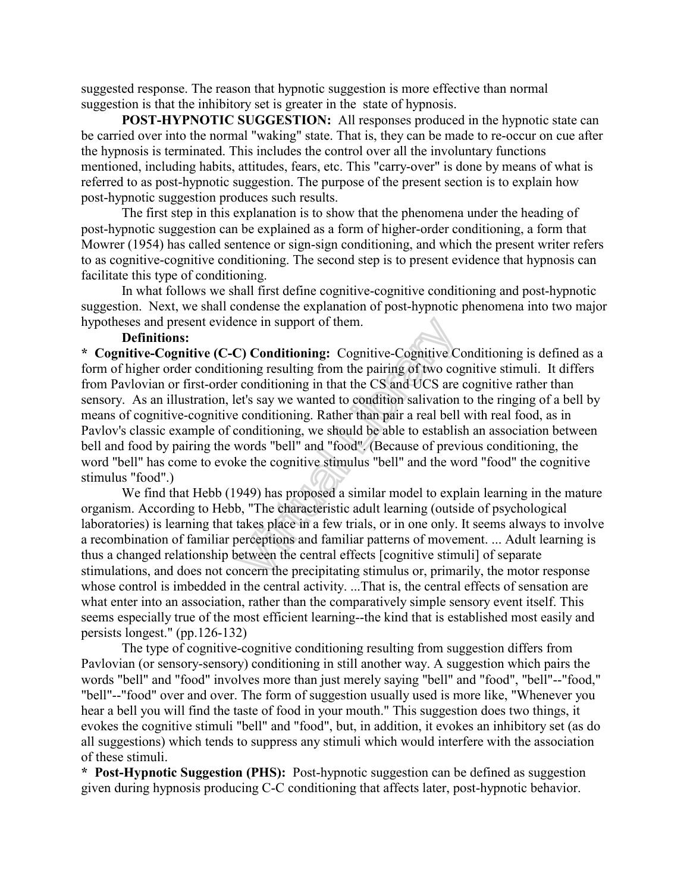suggested response. The reason that hypnotic suggestion is more effective than normal suggestion is that the inhibitory set is greater in the state of hypnosis.

**POST-HYPNOTIC SUGGESTION:** All responses produced in the hypnotic state can be carried over into the normal "waking" state. That is, they can be made to re-occur on cue after the hypnosis is terminated. This includes the control over all the involuntary functions mentioned, including habits, attitudes, fears, etc. This "carry-over" is done by means of what is referred to as post-hypnotic suggestion. The purpose of the present section is to explain how post-hypnotic suggestion produces such results.

 The first step in this explanation is to show that the phenomena under the heading of post-hypnotic suggestion can be explained as a form of higher-order conditioning, a form that Mowrer (1954) has called sentence or sign-sign conditioning, and which the present writer refers to as cognitive-cognitive conditioning. The second step is to present evidence that hypnosis can facilitate this type of conditioning.

 In what follows we shall first define cognitive-cognitive conditioning and post-hypnotic suggestion. Next, we shall condense the explanation of post-hypnotic phenomena into two major hypotheses and present evidence in support of them.

### **Definitions:**

**\* Cognitive-Cognitive (C-C) Conditioning:** Cognitive-Cognitive Conditioning is defined as a form of higher order conditioning resulting from the pairing of two cognitive stimuli. It differs from Pavlovian or first-order conditioning in that the CS and UCS are cognitive rather than sensory. As an illustration, let's say we wanted to condition salivation to the ringing of a bell by means of cognitive-cognitive conditioning. Rather than pair a real bell with real food, as in Pavlov's classic example of conditioning, we should be able to establish an association between bell and food by pairing the words "bell" and "food". (Because of previous conditioning, the word "bell" has come to evoke the cognitive stimulus "bell" and the word "food" the cognitive stimulus "food".)

 We find that Hebb (1949) has proposed a similar model to explain learning in the mature organism. According to Hebb, "The characteristic adult learning (outside of psychological laboratories) is learning that takes place in a few trials, or in one only. It seems always to involve a recombination of familiar perceptions and familiar patterns of movement. ... Adult learning is thus a changed relationship between the central effects [cognitive stimuli] of separate stimulations, and does not concern the precipitating stimulus or, primarily, the motor response whose control is imbedded in the central activity. ...That is, the central effects of sensation are what enter into an association, rather than the comparatively simple sensory event itself. This seems especially true of the most efficient learning--the kind that is established most easily and persists longest." (pp.126-132)

 The type of cognitive-cognitive conditioning resulting from suggestion differs from Pavlovian (or sensory-sensory) conditioning in still another way. A suggestion which pairs the words "bell" and "food" involves more than just merely saying "bell" and "food", "bell"--"food," "bell"--"food" over and over. The form of suggestion usually used is more like, "Whenever you hear a bell you will find the taste of food in your mouth." This suggestion does two things, it evokes the cognitive stimuli "bell" and "food", but, in addition, it evokes an inhibitory set (as do all suggestions) which tends to suppress any stimuli which would interfere with the association of these stimuli.

**\* Post-Hypnotic Suggestion (PHS):** Post-hypnotic suggestion can be defined as suggestion given during hypnosis producing C-C conditioning that affects later, post-hypnotic behavior.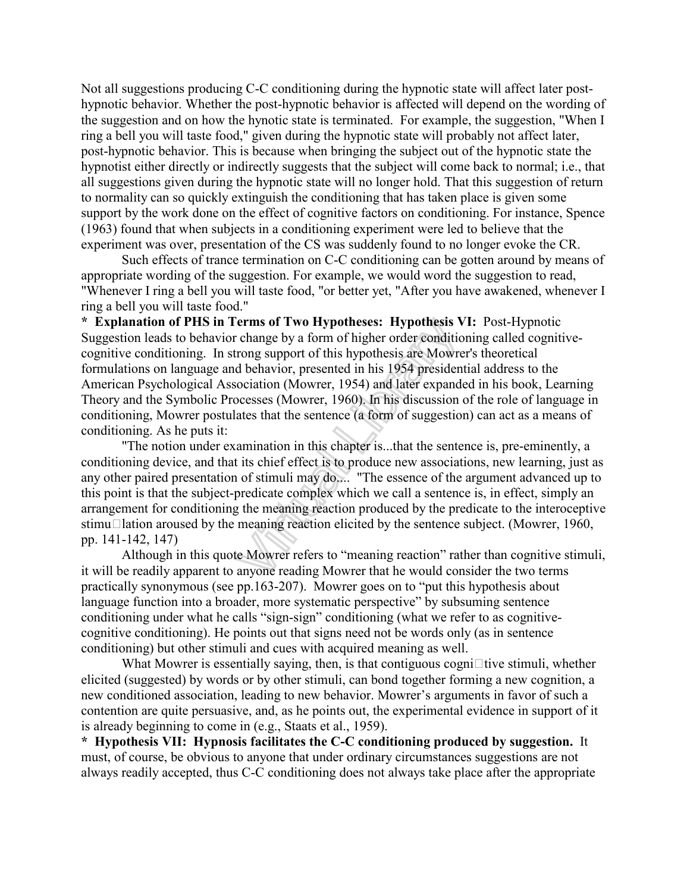Not all suggestions producing C-C conditioning during the hypnotic state will affect later posthypnotic behavior. Whether the post-hypnotic behavior is affected will depend on the wording of the suggestion and on how the hynotic state is terminated. For example, the suggestion, "When I ring a bell you will taste food," given during the hypnotic state will probably not affect later, post-hypnotic behavior. This is because when bringing the subject out of the hypnotic state the hypnotist either directly or indirectly suggests that the subject will come back to normal; i.e., that all suggestions given during the hypnotic state will no longer hold. That this suggestion of return to normality can so quickly extinguish the conditioning that has taken place is given some support by the work done on the effect of cognitive factors on conditioning. For instance, Spence (1963) found that when subjects in a conditioning experiment were led to believe that the experiment was over, presentation of the CS was suddenly found to no longer evoke the CR.

 Such effects of trance termination on C-C conditioning can be gotten around by means of appropriate wording of the suggestion. For example, we would word the suggestion to read, "Whenever I ring a bell you will taste food, "or better yet, "After you have awakened, whenever I ring a bell you will taste food."

**\* Explanation of PHS in Terms of Two Hypotheses: Hypothesis VI:** Post-Hypnotic Suggestion leads to behavior change by a form of higher order conditioning called cognitivecognitive conditioning. In strong support of this hypothesis are Mowrer's theoretical formulations on language and behavior, presented in his 1954 presidential address to the American Psychological Association (Mowrer, 1954) and later expanded in his book, Learning Theory and the Symbolic Processes (Mowrer, 1960). In his discussion of the role of language in conditioning, Mowrer postulates that the sentence (a form of suggestion) can act as a means of conditioning. As he puts it:

 "The notion under examination in this chapter is...that the sentence is, pre-eminently, a conditioning device, and that its chief effect is to produce new associations, new learning, just as any other paired presentation of stimuli may do.... "The essence of the argument advanced up to this point is that the subject-predicate complex which we call a sentence is, in effect, simply an arrangement for conditioning the meaning reaction produced by the predicate to the interoceptive stimuT lation aroused by the meaning reaction elicited by the sentence subject. (Mowrer, 1960, pp. 141-142, 147)

 Although in this quote Mowrer refers to "meaning reaction" rather than cognitive stimuli, it will be readily apparent to anyone reading Mowrer that he would consider the two terms practically synonymous (see pp.163-207). Mowrer goes on to "put this hypothesis about language function into a broader, more systematic perspective" by subsuming sentence conditioning under what he calls "sign-sign" conditioning (what we refer to as cognitivecognitive conditioning). He points out that signs need not be words only (as in sentence conditioning) but other stimuli and cues with acquired meaning as well.

What Mowrer is essentially saying, then, is that contiguous cogni $\mathsf{T}$  tive stimuli, whether elicited (suggested) by words or by other stimuli, can bond together forming a new cognition, a new conditioned association, leading to new behavior. Mowrer's arguments in favor of such a contention are quite persuasive, and, as he points out, the experimental evidence in support of it is already beginning to come in (e.g., Staats et al., 1959).

**\* Hypothesis VII: Hypnosis facilitates the C-C conditioning produced by suggestion.** It must, of course, be obvious to anyone that under ordinary circumstances suggestions are not always readily accepted, thus C-C conditioning does not always take place after the appropriate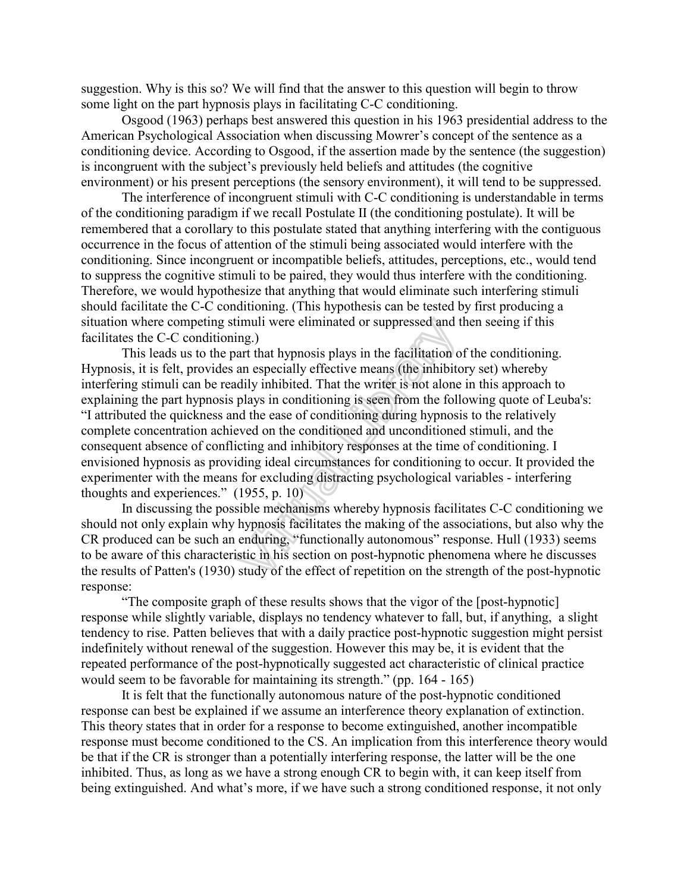suggestion. Why is this so? We will find that the answer to this question will begin to throw some light on the part hypnosis plays in facilitating C-C conditioning.

 Osgood (1963) perhaps best answered this question in his 1963 presidential address to the American Psychological Association when discussing Mowrer's concept of the sentence as a conditioning device. According to Osgood, if the assertion made by the sentence (the suggestion) is incongruent with the subject's previously held beliefs and attitudes (the cognitive environment) or his present perceptions (the sensory environment), it will tend to be suppressed.

 The interference of incongruent stimuli with C-C conditioning is understandable in terms of the conditioning paradigm if we recall Postulate II (the conditioning postulate). It will be remembered that a corollary to this postulate stated that anything interfering with the contiguous occurrence in the focus of attention of the stimuli being associated would interfere with the conditioning. Since incongruent or incompatible beliefs, attitudes, perceptions, etc., would tend to suppress the cognitive stimuli to be paired, they would thus interfere with the conditioning. Therefore, we would hypothesize that anything that would eliminate such interfering stimuli should facilitate the C-C conditioning. (This hypothesis can be tested by first producing a situation where competing stimuli were eliminated or suppressed and then seeing if this facilitates the C-C conditioning.)

 This leads us to the part that hypnosis plays in the facilitation of the conditioning. Hypnosis, it is felt, provides an especially effective means (the inhibitory set) whereby interfering stimuli can be readily inhibited. That the writer is not alone in this approach to explaining the part hypnosis plays in conditioning is seen from the following quote of Leuba's: "I attributed the quickness and the ease of conditioning during hypnosis to the relatively complete concentration achieved on the conditioned and unconditioned stimuli, and the consequent absence of conflicting and inhibitory responses at the time of conditioning. I envisioned hypnosis as providing ideal circumstances for conditioning to occur. It provided the experimenter with the means for excluding distracting psychological variables - interfering thoughts and experiences." (1955, p. 10)

 In discussing the possible mechanisms whereby hypnosis facilitates C-C conditioning we should not only explain why hypnosis facilitates the making of the associations, but also why the CR produced can be such an enduring, "functionally autonomous" response. Hull (1933) seems to be aware of this characteristic in his section on post-hypnotic phenomena where he discusses the results of Patten's (1930) study of the effect of repetition on the strength of the post-hypnotic response:

 "The composite graph of these results shows that the vigor of the [post-hypnotic] response while slightly variable, displays no tendency whatever to fall, but, if anything, a slight tendency to rise. Patten believes that with a daily practice post-hypnotic suggestion might persist indefinitely without renewal of the suggestion. However this may be, it is evident that the repeated performance of the post-hypnotically suggested act characteristic of clinical practice would seem to be favorable for maintaining its strength." (pp. 164 - 165)

 It is felt that the functionally autonomous nature of the post-hypnotic conditioned response can best be explained if we assume an interference theory explanation of extinction. This theory states that in order for a response to become extinguished, another incompatible response must become conditioned to the CS. An implication from this interference theory would be that if the CR is stronger than a potentially interfering response, the latter will be the one inhibited. Thus, as long as we have a strong enough CR to begin with, it can keep itself from being extinguished. And what's more, if we have such a strong conditioned response, it not only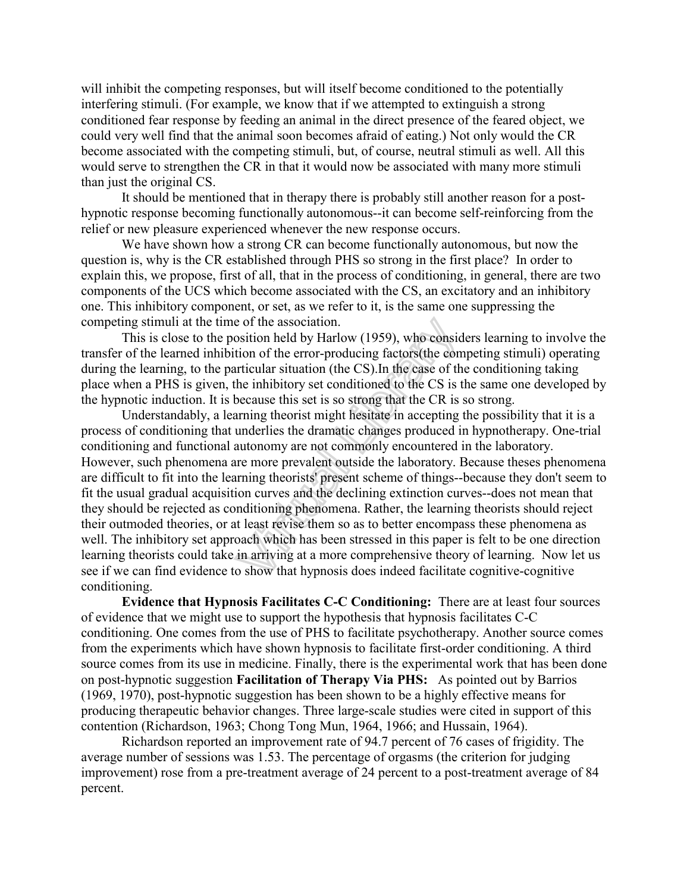will inhibit the competing responses, but will itself become conditioned to the potentially interfering stimuli. (For example, we know that if we attempted to extinguish a strong conditioned fear response by feeding an animal in the direct presence of the feared object, we could very well find that the animal soon becomes afraid of eating.) Not only would the CR become associated with the competing stimuli, but, of course, neutral stimuli as well. All this would serve to strengthen the CR in that it would now be associated with many more stimuli than just the original CS.

 It should be mentioned that in therapy there is probably still another reason for a posthypnotic response becoming functionally autonomous--it can become self-reinforcing from the relief or new pleasure experienced whenever the new response occurs.

 We have shown how a strong CR can become functionally autonomous, but now the question is, why is the CR established through PHS so strong in the first place? In order to explain this, we propose, first of all, that in the process of conditioning, in general, there are two components of the UCS which become associated with the CS, an excitatory and an inhibitory one. This inhibitory component, or set, as we refer to it, is the same one suppressing the competing stimuli at the time of the association.

 This is close to the position held by Harlow (1959), who considers learning to involve the transfer of the learned inhibition of the error-producing factors(the competing stimuli) operating during the learning, to the particular situation (the CS).In the case of the conditioning taking place when a PHS is given, the inhibitory set conditioned to the CS is the same one developed by the hypnotic induction. It is because this set is so strong that the CR is so strong.

 Understandably, a learning theorist might hesitate in accepting the possibility that it is a process of conditioning that underlies the dramatic changes produced in hypnotherapy. One-trial conditioning and functional autonomy are not commonly encountered in the laboratory. However, such phenomena are more prevalent outside the laboratory. Because theses phenomena are difficult to fit into the learning theorists' present scheme of things--because they don't seem to fit the usual gradual acquisition curves and the declining extinction curves--does not mean that they should be rejected as conditioning phenomena. Rather, the learning theorists should reject their outmoded theories, or at least revise them so as to better encompass these phenomena as well. The inhibitory set approach which has been stressed in this paper is felt to be one direction learning theorists could take in arriving at a more comprehensive theory of learning. Now let us see if we can find evidence to show that hypnosis does indeed facilitate cognitive-cognitive conditioning.

**Evidence that Hypnosis Facilitates C-C Conditioning:** There are at least four sources of evidence that we might use to support the hypothesis that hypnosis facilitates C-C conditioning. One comes from the use of PHS to facilitate psychotherapy. Another source comes from the experiments which have shown hypnosis to facilitate first-order conditioning. A third source comes from its use in medicine. Finally, there is the experimental work that has been done on post-hypnotic suggestion **Facilitation of Therapy Via PHS:** As pointed out by Barrios (1969, 1970), post-hypnotic suggestion has been shown to be a highly effective means for producing therapeutic behavior changes. Three large-scale studies were cited in support of this contention (Richardson, 1963; Chong Tong Mun, 1964, 1966; and Hussain, 1964).

 Richardson reported an improvement rate of 94.7 percent of 76 cases of frigidity. The average number of sessions was 1.53. The percentage of orgasms (the criterion for judging improvement) rose from a pre-treatment average of 24 percent to a post-treatment average of 84 percent.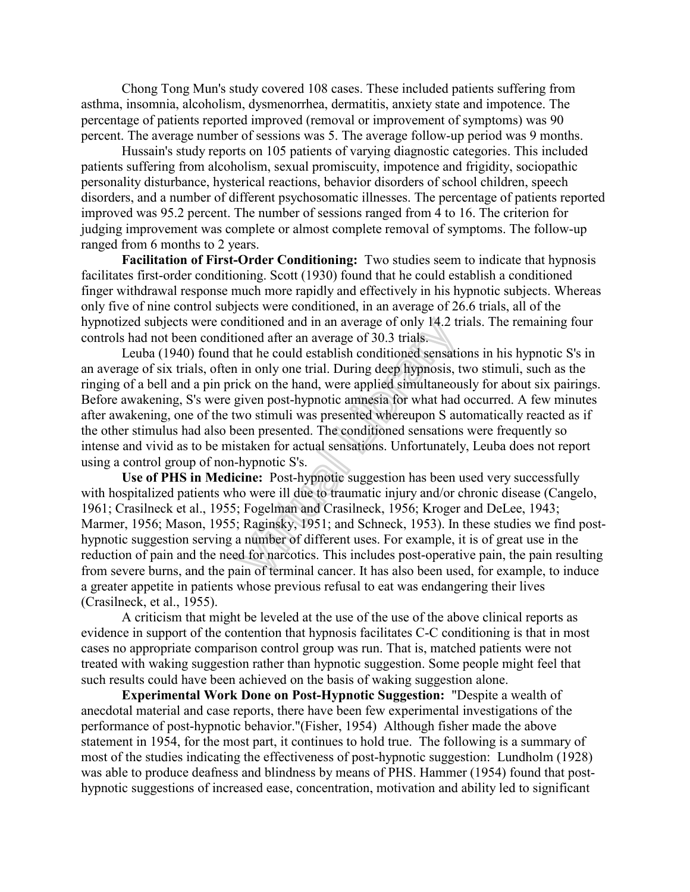Chong Tong Mun's study covered 108 cases. These included patients suffering from asthma, insomnia, alcoholism, dysmenorrhea, dermatitis, anxiety state and impotence. The percentage of patients reported improved (removal or improvement of symptoms) was 90 percent. The average number of sessions was 5. The average follow-up period was 9 months.

 Hussain's study reports on 105 patients of varying diagnostic categories. This included patients suffering from alcoholism, sexual promiscuity, impotence and frigidity, sociopathic personality disturbance, hysterical reactions, behavior disorders of school children, speech disorders, and a number of different psychosomatic illnesses. The percentage of patients reported improved was 95.2 percent. The number of sessions ranged from 4 to 16. The criterion for judging improvement was complete or almost complete removal of symptoms. The follow-up ranged from 6 months to 2 years.

**Facilitation of First-Order Conditioning:** Two studies seem to indicate that hypnosis facilitates first-order conditioning. Scott (1930) found that he could establish a conditioned finger withdrawal response much more rapidly and effectively in his hypnotic subjects. Whereas only five of nine control subjects were conditioned, in an average of 26.6 trials, all of the hypnotized subjects were conditioned and in an average of only 14.2 trials. The remaining four controls had not been conditioned after an average of 30.3 trials.

 Leuba (1940) found that he could establish conditioned sensations in his hypnotic S's in an average of six trials, often in only one trial. During deep hypnosis, two stimuli, such as the ringing of a bell and a pin prick on the hand, were applied simultaneously for about six pairings. Before awakening, S's were given post-hypnotic amnesia for what had occurred. A few minutes after awakening, one of the two stimuli was presented whereupon S automatically reacted as if the other stimulus had also been presented. The conditioned sensations were frequently so intense and vivid as to be mistaken for actual sensations. Unfortunately, Leuba does not report using a control group of non-hypnotic S's.

**Use of PHS in Medicine:** Post-hypnotic suggestion has been used very successfully with hospitalized patients who were ill due to traumatic injury and/or chronic disease (Cangelo, 1961; Crasilneck et al., 1955; Fogelman and Crasilneck, 1956; Kroger and DeLee, 1943; Marmer, 1956; Mason, 1955; Raginsky, 1951; and Schneck, 1953). In these studies we find posthypnotic suggestion serving a number of different uses. For example, it is of great use in the reduction of pain and the need for narcotics. This includes post-operative pain, the pain resulting from severe burns, and the pain of terminal cancer. It has also been used, for example, to induce a greater appetite in patients whose previous refusal to eat was endangering their lives (Crasilneck, et al., 1955).

 A criticism that might be leveled at the use of the use of the above clinical reports as evidence in support of the contention that hypnosis facilitates C-C conditioning is that in most cases no appropriate comparison control group was run. That is, matched patients were not treated with waking suggestion rather than hypnotic suggestion. Some people might feel that such results could have been achieved on the basis of waking suggestion alone.

**Experimental Work Done on Post-Hypnotic Suggestion:** "Despite a wealth of anecdotal material and case reports, there have been few experimental investigations of the performance of post-hypnotic behavior."(Fisher, 1954) Although fisher made the above statement in 1954, for the most part, it continues to hold true. The following is a summary of most of the studies indicating the effectiveness of post-hypnotic suggestion: Lundholm (1928) was able to produce deafness and blindness by means of PHS. Hammer (1954) found that posthypnotic suggestions of increased ease, concentration, motivation and ability led to significant